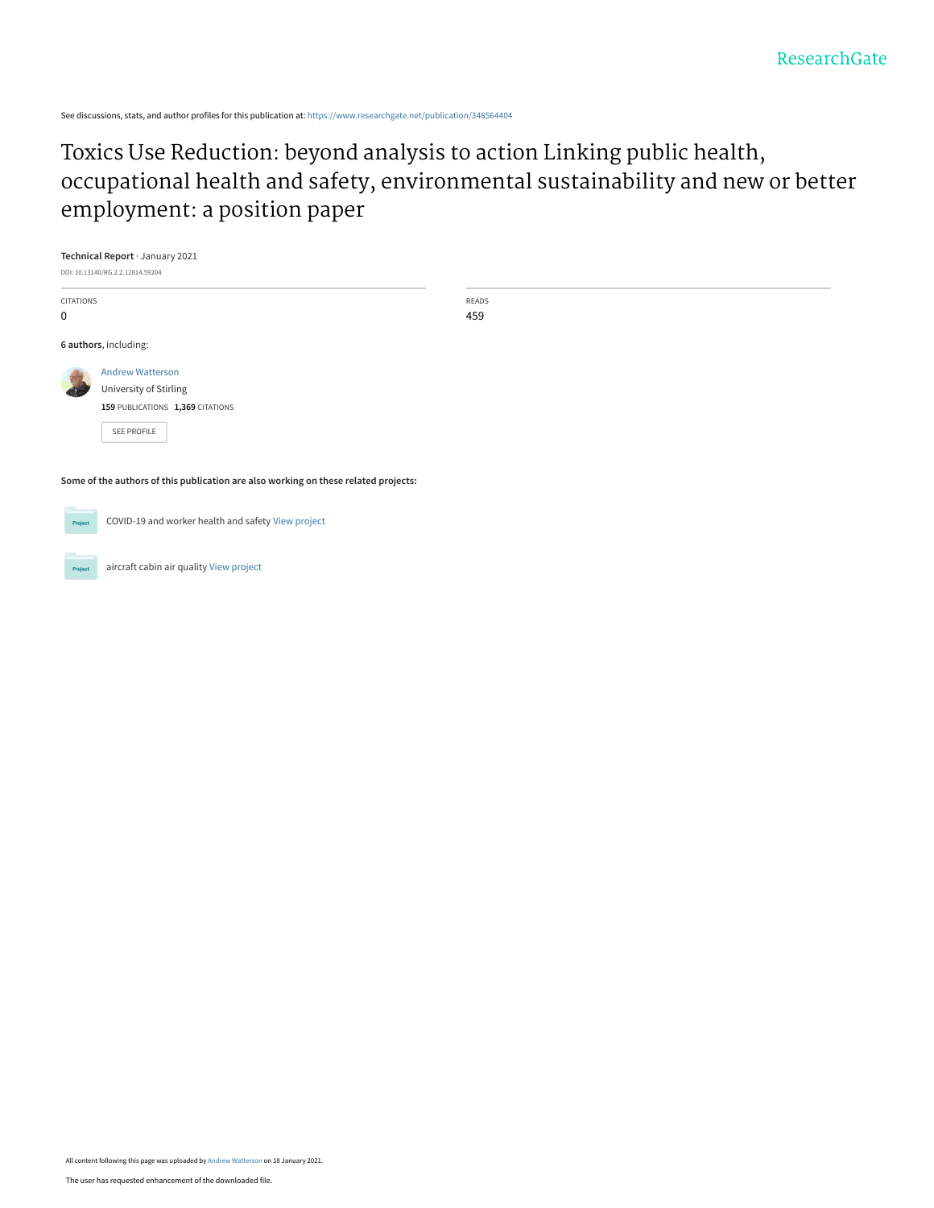See discussions, stats, and author profiles for this publication at: [https://www.researchgate.net/publication/348564404](https://www.researchgate.net/publication/348564404_Toxics_Use_Reduction_beyond_analysis_to_action_Linking_public_health_occupational_health_and_safety_environmental_sustainability_and_new_or_better_employment_a_position_paper?enrichId=rgreq-23f39c9b1135e8b8868c7dcdfe0b7fbc-XXX&enrichSource=Y292ZXJQYWdlOzM0ODU2NDQwNDtBUzo5ODEyMzA5MTcwMjE2OThAMTYxMDk1NTA4OTc5MQ%3D%3D&el=1_x_2&_esc=publicationCoverPdf)

Toxics Use Reduction: beyond analysis to action Linking public health, [occupational health and safety, environmental sustainability and new or better](https://www.researchgate.net/publication/348564404_Toxics_Use_Reduction_beyond_analysis_to_action_Linking_public_health_occupational_health_and_safety_environmental_sustainability_and_new_or_better_employment_a_position_paper?enrichId=rgreq-23f39c9b1135e8b8868c7dcdfe0b7fbc-XXX&enrichSource=Y292ZXJQYWdlOzM0ODU2NDQwNDtBUzo5ODEyMzA5MTcwMjE2OThAMTYxMDk1NTA4OTc5MQ%3D%3D&el=1_x_3&_esc=publicationCoverPdf) employment: a position paper

| Technical Report · January 2021                                                     |                                                    |       |
|-------------------------------------------------------------------------------------|----------------------------------------------------|-------|
| DOI: 10.13140/RG.2.2.12814.59204                                                    |                                                    |       |
| <b>CITATIONS</b>                                                                    |                                                    | READS |
| $\mathbf 0$                                                                         |                                                    | 459   |
| 6 authors, including:                                                               |                                                    |       |
|                                                                                     | <b>Andrew Watterson</b>                            |       |
|                                                                                     | University of Stirling                             |       |
|                                                                                     | 159 PUBLICATIONS 1,369 CITATIONS                   |       |
|                                                                                     | SEE PROFILE                                        |       |
|                                                                                     |                                                    |       |
| Some of the authors of this publication are also working on these related projects: |                                                    |       |
| Project                                                                             | COVID-19 and worker health and safety View project |       |
| Project                                                                             | aircraft cabin air quality View project            |       |

All content following this page was uploaded by [Andrew Watterson](https://www.researchgate.net/profile/Andrew-Watterson?enrichId=rgreq-23f39c9b1135e8b8868c7dcdfe0b7fbc-XXX&enrichSource=Y292ZXJQYWdlOzM0ODU2NDQwNDtBUzo5ODEyMzA5MTcwMjE2OThAMTYxMDk1NTA4OTc5MQ%3D%3D&el=1_x_10&_esc=publicationCoverPdf) on 18 January 2021.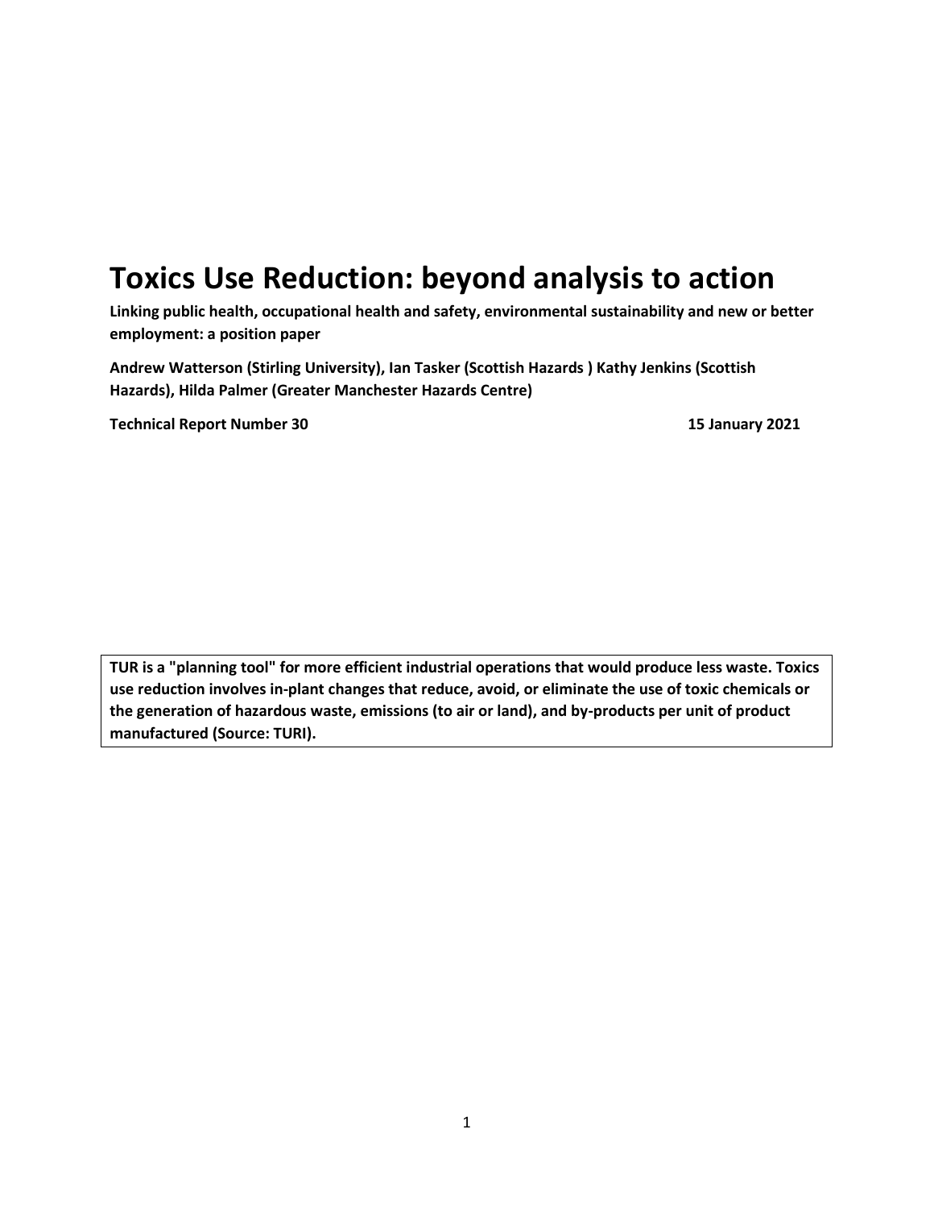# **Toxics Use Reduction: beyond analysis to action**

**Linking public health, occupational health and safety, environmental sustainability and new or better employment: a position paper** 

**Andrew Watterson (Stirling University), Ian Tasker (Scottish Hazards ) Kathy Jenkins (Scottish Hazards), Hilda Palmer (Greater Manchester Hazards Centre)** 

**Technical Report Number 30 15 January 2021** 

**TUR is a "planning tool" for more efficient industrial operations that would produce less waste. Toxics use reduction involves in-plant changes that reduce, avoid, or eliminate the use of toxic chemicals or the generation of hazardous waste, emissions (to air or land), and by-products per unit of product manufactured (Source: TURI).**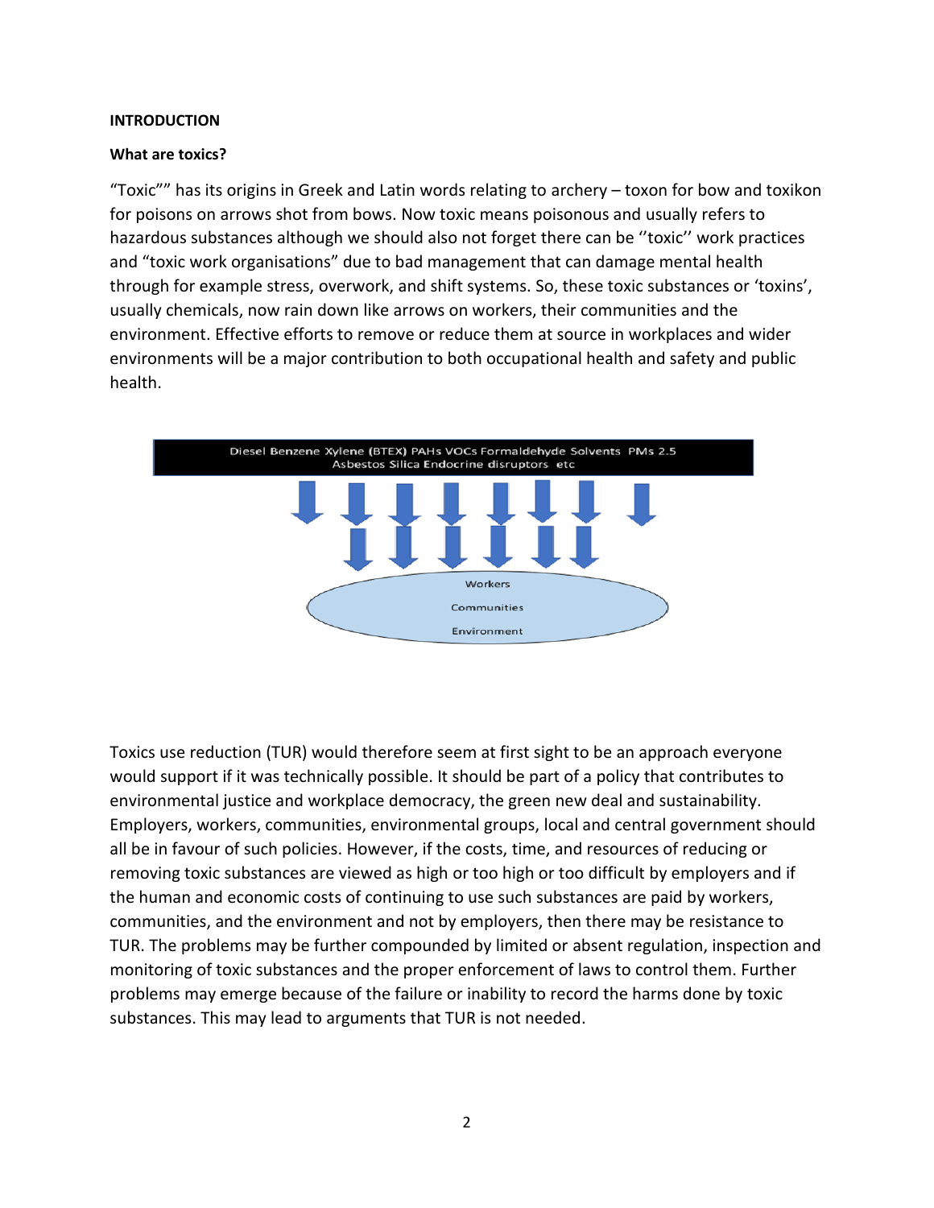# **INTRODUCTION**

# **What are toxics?**

"Toxic"" has its origins in Greek and Latin words relating to archery – toxon for bow and toxikon for poisons on arrows shot from bows. Now toxic means poisonous and usually refers to hazardous substances although we should also not forget there can be ''toxic'' work practices and "toxic work organisations" due to bad management that can damage mental health through for example stress, overwork, and shift systems. So, these toxic substances or 'toxins', usually chemicals, now rain down like arrows on workers, their communities and the environment. Effective efforts to remove or reduce them at source in workplaces and wider environments will be a major contribution to both occupational health and safety and public health.



Toxics use reduction (TUR) would therefore seem at first sight to be an approach everyone would support if it was technically possible. It should be part of a policy that contributes to environmental justice and workplace democracy, the green new deal and sustainability. Employers, workers, communities, environmental groups, local and central government should all be in favour of such policies. However, if the costs, time, and resources of reducing or removing toxic substances are viewed as high or too high or too difficult by employers and if the human and economic costs of continuing to use such substances are paid by workers, communities, and the environment and not by employers, then there may be resistance to TUR. The problems may be further compounded by limited or absent regulation, inspection and monitoring of toxic substances and the proper enforcement of laws to control them. Further problems may emerge because of the failure or inability to record the harms done by toxic substances. This may lead to arguments that TUR is not needed.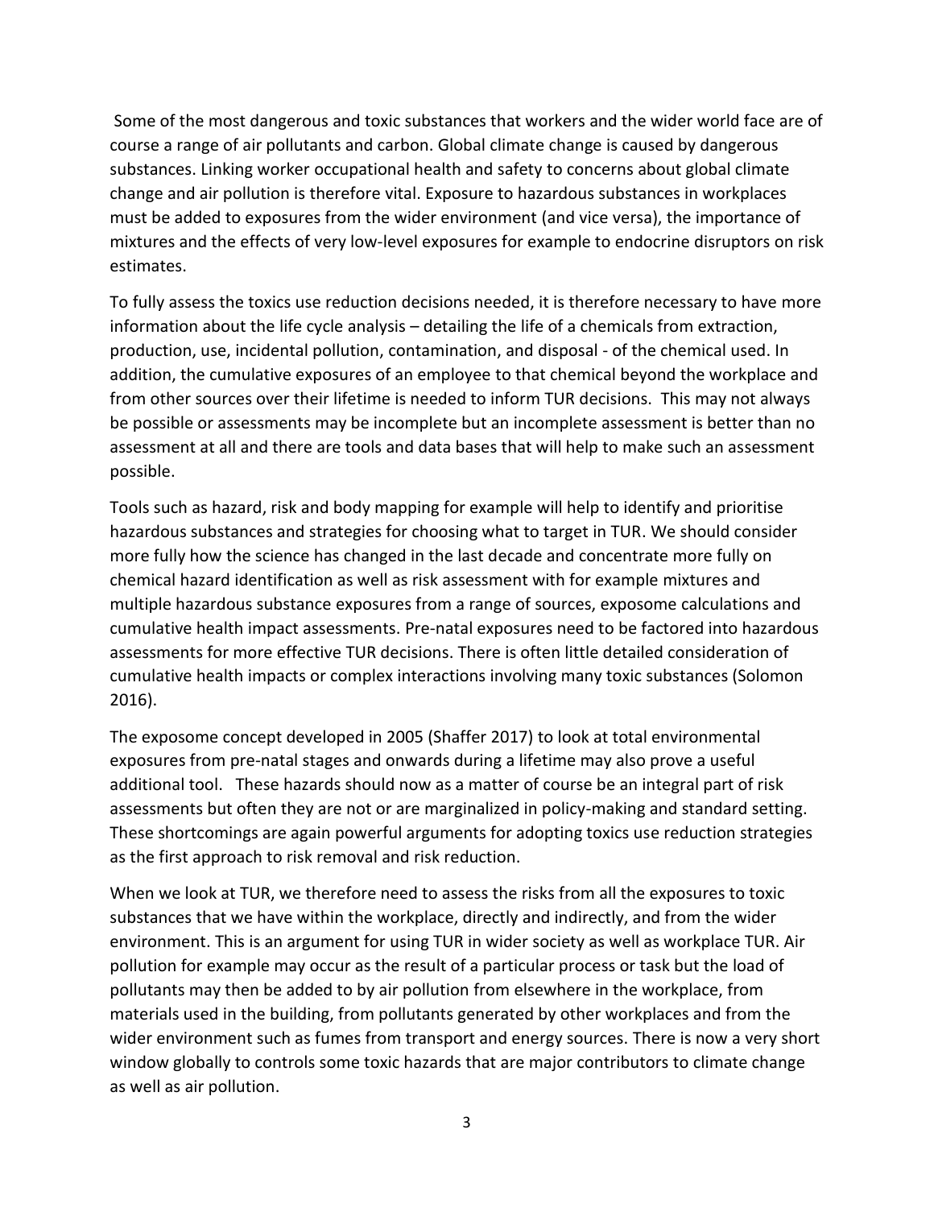Some of the most dangerous and toxic substances that workers and the wider world face are of course a range of air pollutants and carbon. Global climate change is caused by dangerous substances. Linking worker occupational health and safety to concerns about global climate change and air pollution is therefore vital. Exposure to hazardous substances in workplaces must be added to exposures from the wider environment (and vice versa), the importance of mixtures and the effects of very low-level exposures for example to endocrine disruptors on risk estimates.

To fully assess the toxics use reduction decisions needed, it is therefore necessary to have more information about the life cycle analysis – detailing the life of a chemicals from extraction, production, use, incidental pollution, contamination, and disposal - of the chemical used. In addition, the cumulative exposures of an employee to that chemical beyond the workplace and from other sources over their lifetime is needed to inform TUR decisions. This may not always be possible or assessments may be incomplete but an incomplete assessment is better than no assessment at all and there are tools and data bases that will help to make such an assessment possible.

Tools such as hazard, risk and body mapping for example will help to identify and prioritise hazardous substances and strategies for choosing what to target in TUR. We should consider more fully how the science has changed in the last decade and concentrate more fully on chemical hazard identification as well as risk assessment with for example mixtures and multiple hazardous substance exposures from a range of sources, exposome calculations and cumulative health impact assessments. Pre-natal exposures need to be factored into hazardous assessments for more effective TUR decisions. There is often little detailed consideration of cumulative health impacts or complex interactions involving many toxic substances (Solomon 2016).

The exposome concept developed in 2005 (Shaffer 2017) to look at total environmental exposures from pre-natal stages and onwards during a lifetime may also prove a useful additional tool. These hazards should now as a matter of course be an integral part of risk assessments but often they are not or are marginalized in policy-making and standard setting. These shortcomings are again powerful arguments for adopting toxics use reduction strategies as the first approach to risk removal and risk reduction.

When we look at TUR, we therefore need to assess the risks from all the exposures to toxic substances that we have within the workplace, directly and indirectly, and from the wider environment. This is an argument for using TUR in wider society as well as workplace TUR. Air pollution for example may occur as the result of a particular process or task but the load of pollutants may then be added to by air pollution from elsewhere in the workplace, from materials used in the building, from pollutants generated by other workplaces and from the wider environment such as fumes from transport and energy sources. There is now a very short window globally to controls some toxic hazards that are major contributors to climate change as well as air pollution.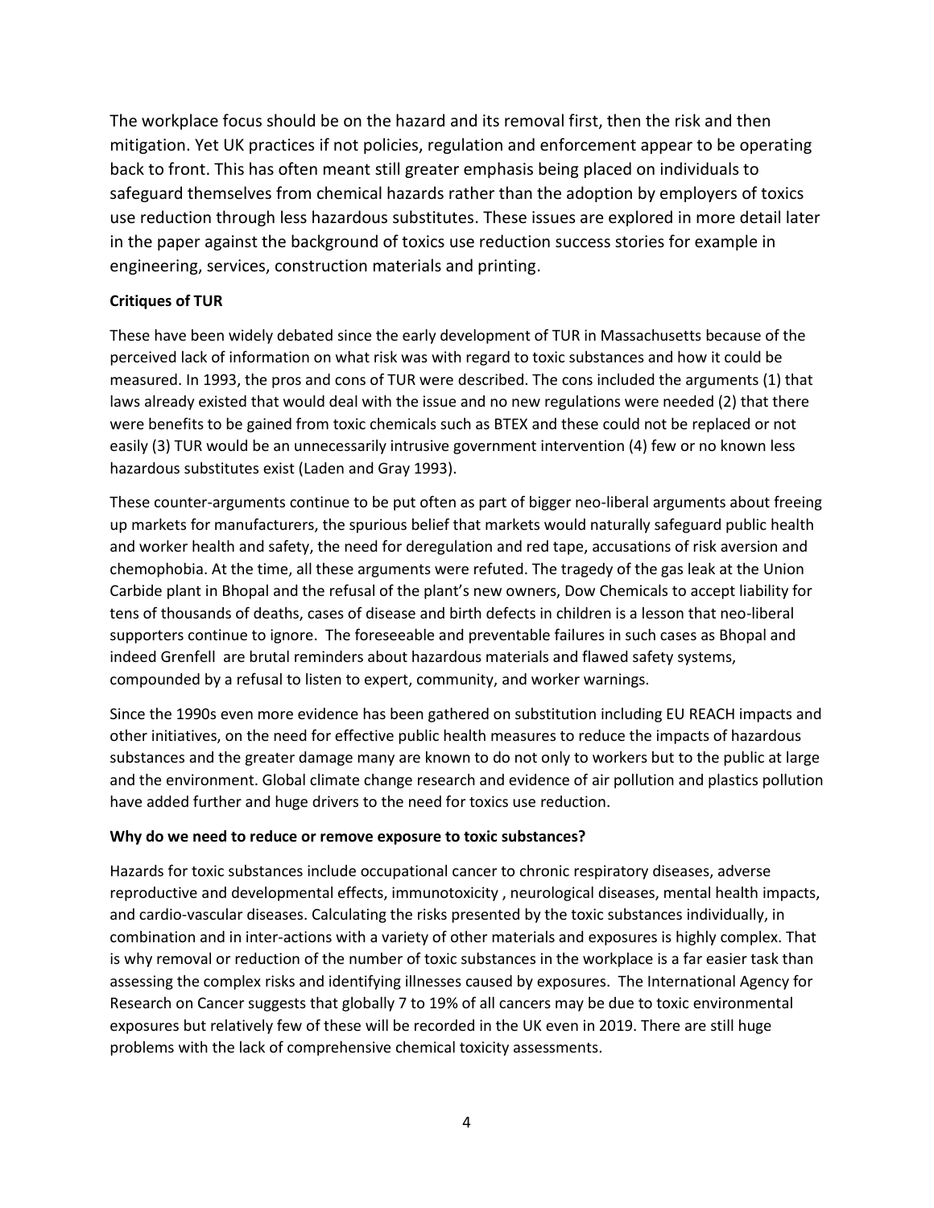The workplace focus should be on the hazard and its removal first, then the risk and then mitigation. Yet UK practices if not policies, regulation and enforcement appear to be operating back to front. This has often meant still greater emphasis being placed on individuals to safeguard themselves from chemical hazards rather than the adoption by employers of toxics use reduction through less hazardous substitutes. These issues are explored in more detail later in the paper against the background of toxics use reduction success stories for example in engineering, services, construction materials and printing.

# **Critiques of TUR**

These have been widely debated since the early development of TUR in Massachusetts because of the perceived lack of information on what risk was with regard to toxic substances and how it could be measured. In 1993, the pros and cons of TUR were described. The cons included the arguments (1) that laws already existed that would deal with the issue and no new regulations were needed (2) that there were benefits to be gained from toxic chemicals such as BTEX and these could not be replaced or not easily (3) TUR would be an unnecessarily intrusive government intervention (4) few or no known less hazardous substitutes exist (Laden and Gray 1993).

These counter-arguments continue to be put often as part of bigger neo-liberal arguments about freeing up markets for manufacturers, the spurious belief that markets would naturally safeguard public health and worker health and safety, the need for deregulation and red tape, accusations of risk aversion and chemophobia. At the time, all these arguments were refuted. The tragedy of the gas leak at the Union Carbide plant in Bhopal and the refusal of the plant's new owners, Dow Chemicals to accept liability for tens of thousands of deaths, cases of disease and birth defects in children is a lesson that neo-liberal supporters continue to ignore. The foreseeable and preventable failures in such cases as Bhopal and indeed Grenfell are brutal reminders about hazardous materials and flawed safety systems, compounded by a refusal to listen to expert, community, and worker warnings.

Since the 1990s even more evidence has been gathered on substitution including EU REACH impacts and other initiatives, on the need for effective public health measures to reduce the impacts of hazardous substances and the greater damage many are known to do not only to workers but to the public at large and the environment. Global climate change research and evidence of air pollution and plastics pollution have added further and huge drivers to the need for toxics use reduction.

#### **Why do we need to reduce or remove exposure to toxic substances?**

Hazards for toxic substances include occupational cancer to chronic respiratory diseases, adverse reproductive and developmental effects, immunotoxicity , neurological diseases, mental health impacts, and cardio-vascular diseases. Calculating the risks presented by the toxic substances individually, in combination and in inter-actions with a variety of other materials and exposures is highly complex. That is why removal or reduction of the number of toxic substances in the workplace is a far easier task than assessing the complex risks and identifying illnesses caused by exposures. The International Agency for Research on Cancer suggests that globally 7 to 19% of all cancers may be due to toxic environmental exposures but relatively few of these will be recorded in the UK even in 2019. There are still huge problems with the lack of comprehensive chemical toxicity assessments.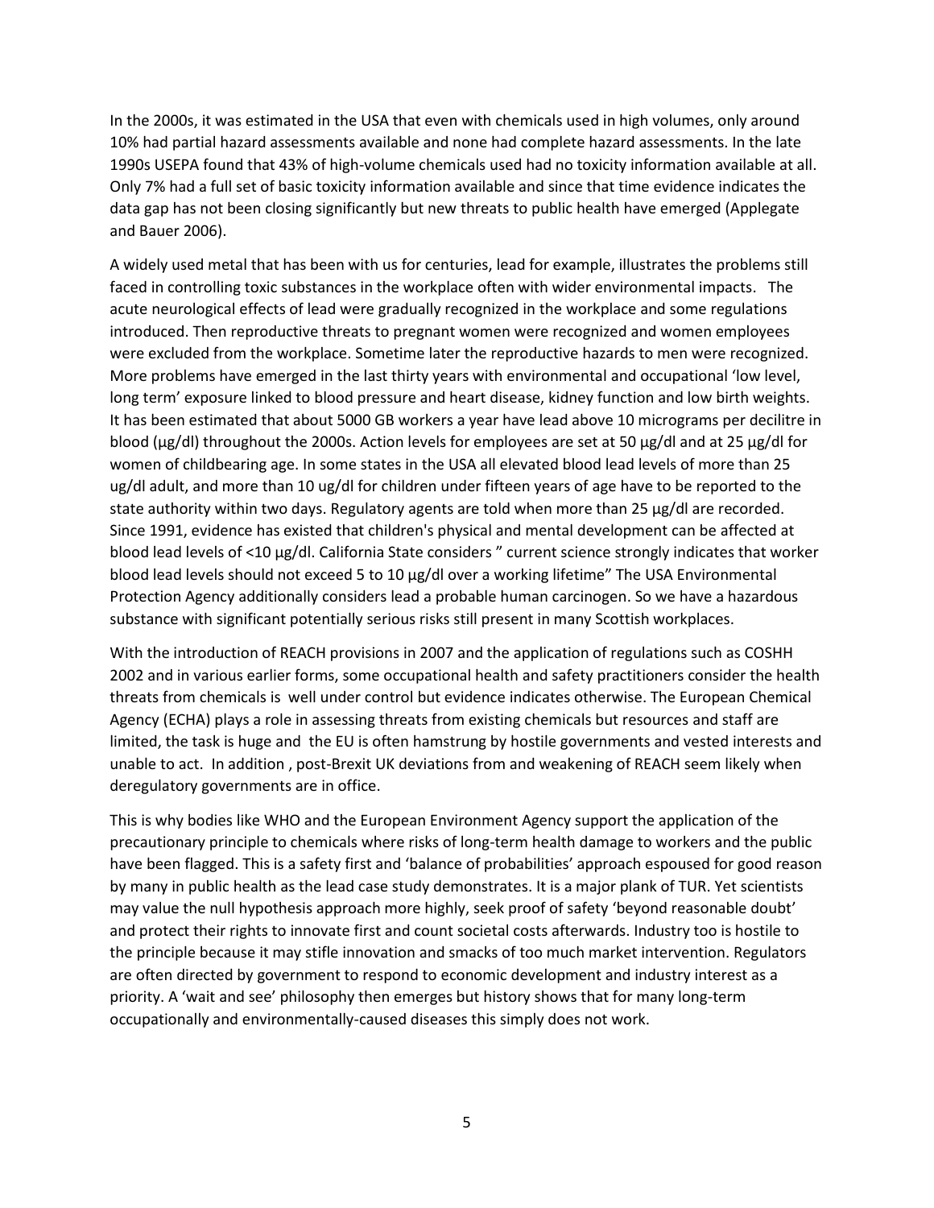In the 2000s, it was estimated in the USA that even with chemicals used in high volumes, only around 10% had partial hazard assessments available and none had complete hazard assessments. In the late 1990s USEPA found that 43% of high-volume chemicals used had no toxicity information available at all. Only 7% had a full set of basic toxicity information available and since that time evidence indicates the data gap has not been closing significantly but new threats to public health have emerged (Applegate and Bauer 2006).

A widely used metal that has been with us for centuries, lead for example, illustrates the problems still faced in controlling toxic substances in the workplace often with wider environmental impacts. The acute neurological effects of lead were gradually recognized in the workplace and some regulations introduced. Then reproductive threats to pregnant women were recognized and women employees were excluded from the workplace. Sometime later the reproductive hazards to men were recognized. More problems have emerged in the last thirty years with environmental and occupational 'low level, long term' exposure linked to blood pressure and heart disease, kidney function and low birth weights. It has been estimated that about 5000 GB workers a year have lead above 10 micrograms per decilitre in blood (µg/dl) throughout the 2000s. Action levels for employees are set at 50 µg/dl and at 25 µg/dl for women of childbearing age. In some states in the USA all elevated blood lead levels of more than 25 ug/dl adult, and more than 10 ug/dl for children under fifteen years of age have to be reported to the state authority within two days. Regulatory agents are told when more than 25 µg/dl are recorded. Since 1991, evidence has existed that children's physical and mental development can be affected at blood lead levels of <10 µg/dl. California State considers " current science strongly indicates that worker blood lead levels should not exceed 5 to 10 µg/dl over a working lifetime" The USA Environmental Protection Agency additionally considers lead a probable human carcinogen. So we have a hazardous substance with significant potentially serious risks still present in many Scottish workplaces.

With the introduction of REACH provisions in 2007 and the application of regulations such as COSHH 2002 and in various earlier forms, some occupational health and safety practitioners consider the health threats from chemicals is well under control but evidence indicates otherwise. The European Chemical Agency (ECHA) plays a role in assessing threats from existing chemicals but resources and staff are limited, the task is huge and the EU is often hamstrung by hostile governments and vested interests and unable to act. In addition , post-Brexit UK deviations from and weakening of REACH seem likely when deregulatory governments are in office.

This is why bodies like WHO and the European Environment Agency support the application of the precautionary principle to chemicals where risks of long-term health damage to workers and the public have been flagged. This is a safety first and 'balance of probabilities' approach espoused for good reason by many in public health as the lead case study demonstrates. It is a major plank of TUR. Yet scientists may value the null hypothesis approach more highly, seek proof of safety 'beyond reasonable doubt' and protect their rights to innovate first and count societal costs afterwards. Industry too is hostile to the principle because it may stifle innovation and smacks of too much market intervention. Regulators are often directed by government to respond to economic development and industry interest as a priority. A 'wait and see' philosophy then emerges but history shows that for many long-term occupationally and environmentally-caused diseases this simply does not work.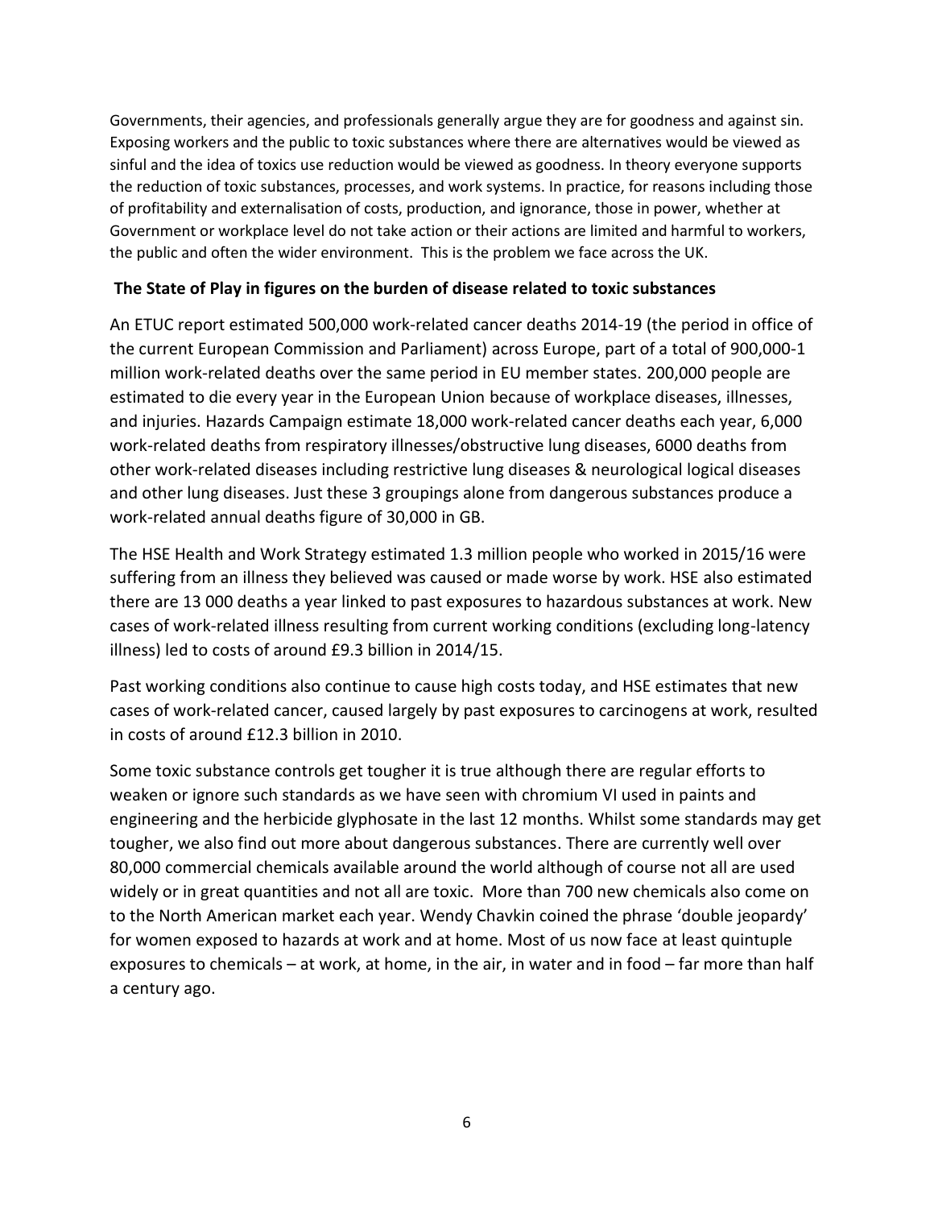Governments, their agencies, and professionals generally argue they are for goodness and against sin. Exposing workers and the public to toxic substances where there are alternatives would be viewed as sinful and the idea of toxics use reduction would be viewed as goodness. In theory everyone supports the reduction of toxic substances, processes, and work systems. In practice, for reasons including those of profitability and externalisation of costs, production, and ignorance, those in power, whether at Government or workplace level do not take action or their actions are limited and harmful to workers, the public and often the wider environment. This is the problem we face across the UK.

# **The State of Play in figures on the burden of disease related to toxic substances**

An ETUC report estimated 500,000 work-related cancer deaths 2014-19 (the period in office of the current European Commission and Parliament) across Europe, part of a total of 900,000-1 million work-related deaths over the same period in EU member states. 200,000 people are estimated to die every year in the European Union because of workplace diseases, illnesses, and injuries. Hazards Campaign estimate 18,000 work-related cancer deaths each year, 6,000 work-related deaths from respiratory illnesses/obstructive lung diseases, 6000 deaths from other work-related diseases including restrictive lung diseases & neurological logical diseases and other lung diseases. Just these 3 groupings alone from dangerous substances produce a work-related annual deaths figure of 30,000 in GB.

The HSE Health and Work Strategy estimated 1.3 million people who worked in 2015/16 were suffering from an illness they believed was caused or made worse by work. HSE also estimated there are 13 000 deaths a year linked to past exposures to hazardous substances at work. New cases of work-related illness resulting from current working conditions (excluding long-latency illness) led to costs of around £9.3 billion in 2014/15.

Past working conditions also continue to cause high costs today, and HSE estimates that new cases of work-related cancer, caused largely by past exposures to carcinogens at work, resulted in costs of around £12.3 billion in 2010.

Some toxic substance controls get tougher it is true although there are regular efforts to weaken or ignore such standards as we have seen with chromium VI used in paints and engineering and the herbicide glyphosate in the last 12 months. Whilst some standards may get tougher, we also find out more about dangerous substances. There are currently well over 80,000 commercial chemicals available around the world although of course not all are used widely or in great quantities and not all are toxic. More than 700 new chemicals also come on to the North American market each year. Wendy Chavkin coined the phrase 'double jeopardy' for women exposed to hazards at work and at home. Most of us now face at least quintuple exposures to chemicals – at work, at home, in the air, in water and in food – far more than half a century ago.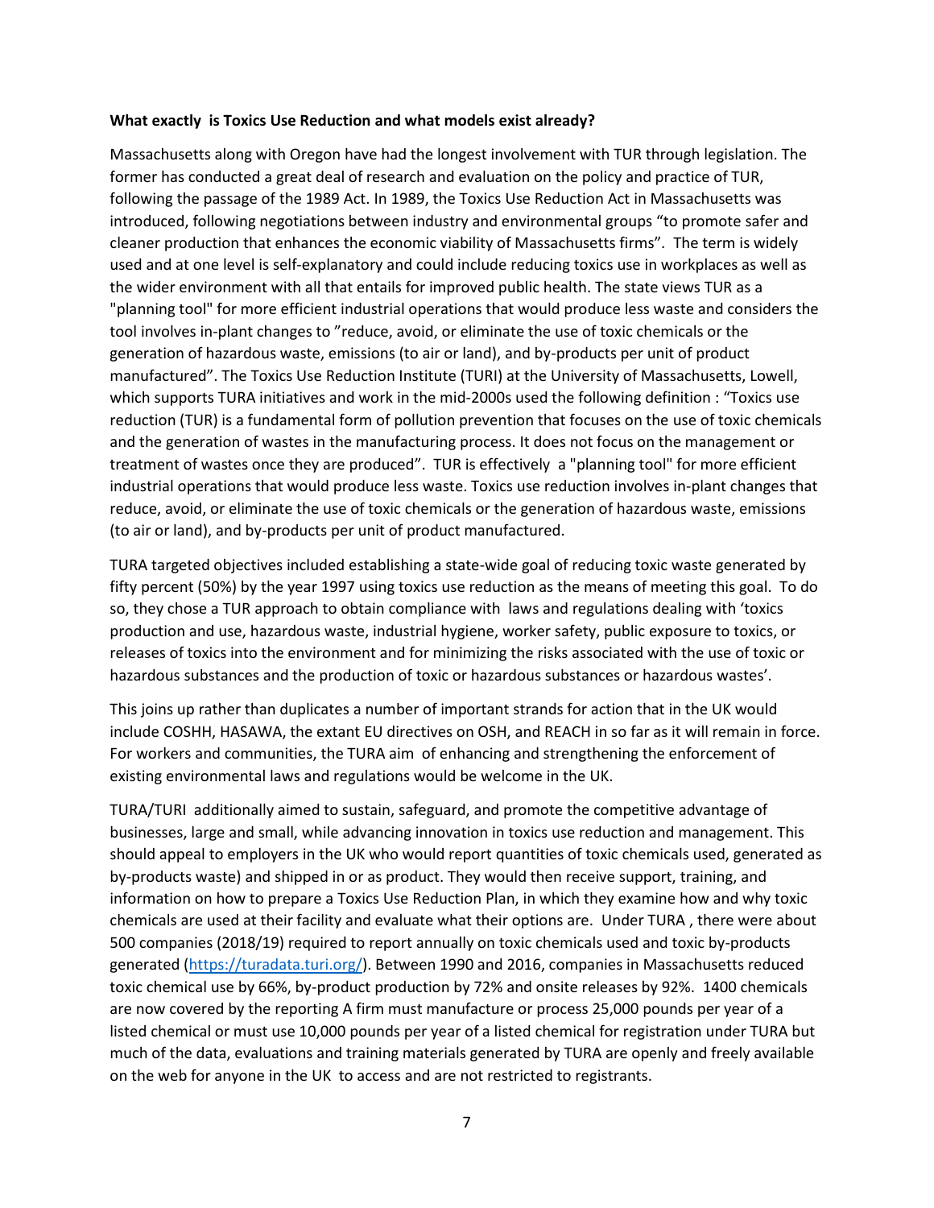#### **What exactly is Toxics Use Reduction and what models exist already?**

Massachusetts along with Oregon have had the longest involvement with TUR through legislation. The former has conducted a great deal of research and evaluation on the policy and practice of TUR, following the passage of the 1989 Act. In 1989, the Toxics Use Reduction Act in Massachusetts was introduced, following negotiations between industry and environmental groups "to promote safer and cleaner production that enhances the economic viability of Massachusetts firms". The term is widely used and at one level is self-explanatory and could include reducing toxics use in workplaces as well as the wider environment with all that entails for improved public health. The state views TUR as a "planning tool" for more efficient industrial operations that would produce less waste and considers the tool involves in-plant changes to "reduce, avoid, or eliminate the use of toxic chemicals or the generation of hazardous waste, emissions (to air or land), and by-products per unit of product manufactured". The Toxics Use Reduction Institute (TURI) at the University of Massachusetts, Lowell, which supports TURA initiatives and work in the mid-2000s used the following definition : "Toxics use reduction (TUR) is a fundamental form of pollution prevention that focuses on the use of toxic chemicals and the generation of wastes in the manufacturing process. It does not focus on the management or treatment of wastes once they are produced". TUR is effectively a "planning tool" for more efficient industrial operations that would produce less waste. Toxics use reduction involves in-plant changes that reduce, avoid, or eliminate the use of toxic chemicals or the generation of hazardous waste, emissions (to air or land), and by-products per unit of product manufactured.

TURA targeted objectives included establishing a state-wide goal of reducing toxic waste generated by fifty percent (50%) by the year 1997 using toxics use reduction as the means of meeting this goal. To do so, they chose a TUR approach to obtain compliance with laws and regulations dealing with 'toxics production and use, hazardous waste, industrial hygiene, worker safety, public exposure to toxics, or releases of toxics into the environment and for minimizing the risks associated with the use of toxic or hazardous substances and the production of toxic or hazardous substances or hazardous wastes'.

This joins up rather than duplicates a number of important strands for action that in the UK would include COSHH, HASAWA, the extant EU directives on OSH, and REACH in so far as it will remain in force. For workers and communities, the TURA aim of enhancing and strengthening the enforcement of existing environmental laws and regulations would be welcome in the UK.

TURA/TURI additionally aimed to sustain, safeguard, and promote the competitive advantage of businesses, large and small, while advancing innovation in toxics use reduction and management. This should appeal to employers in the UK who would report quantities of toxic chemicals used, generated as by-products waste) and shipped in or as product. They would then receive support, training, and information on how to prepare a Toxics Use Reduction Plan, in which they examine how and why toxic chemicals are used at their facility and evaluate what their options are. Under TURA , there were about 500 companies (2018/19) required to report annually on toxic chemicals used and toxic by-products generated [\(https://turadata.turi.org/\)](https://turadata.turi.org/). Between 1990 and 2016, companies in Massachusetts reduced toxic chemical use by 66%, by-product production by 72% and onsite releases by 92%. 1400 chemicals are now covered by the reporting A firm must manufacture or process 25,000 pounds per year of a listed chemical or must use 10,000 pounds per year of a listed chemical for registration under TURA but much of the data, evaluations and training materials generated by TURA are openly and freely available on the web for anyone in the UK to access and are not restricted to registrants.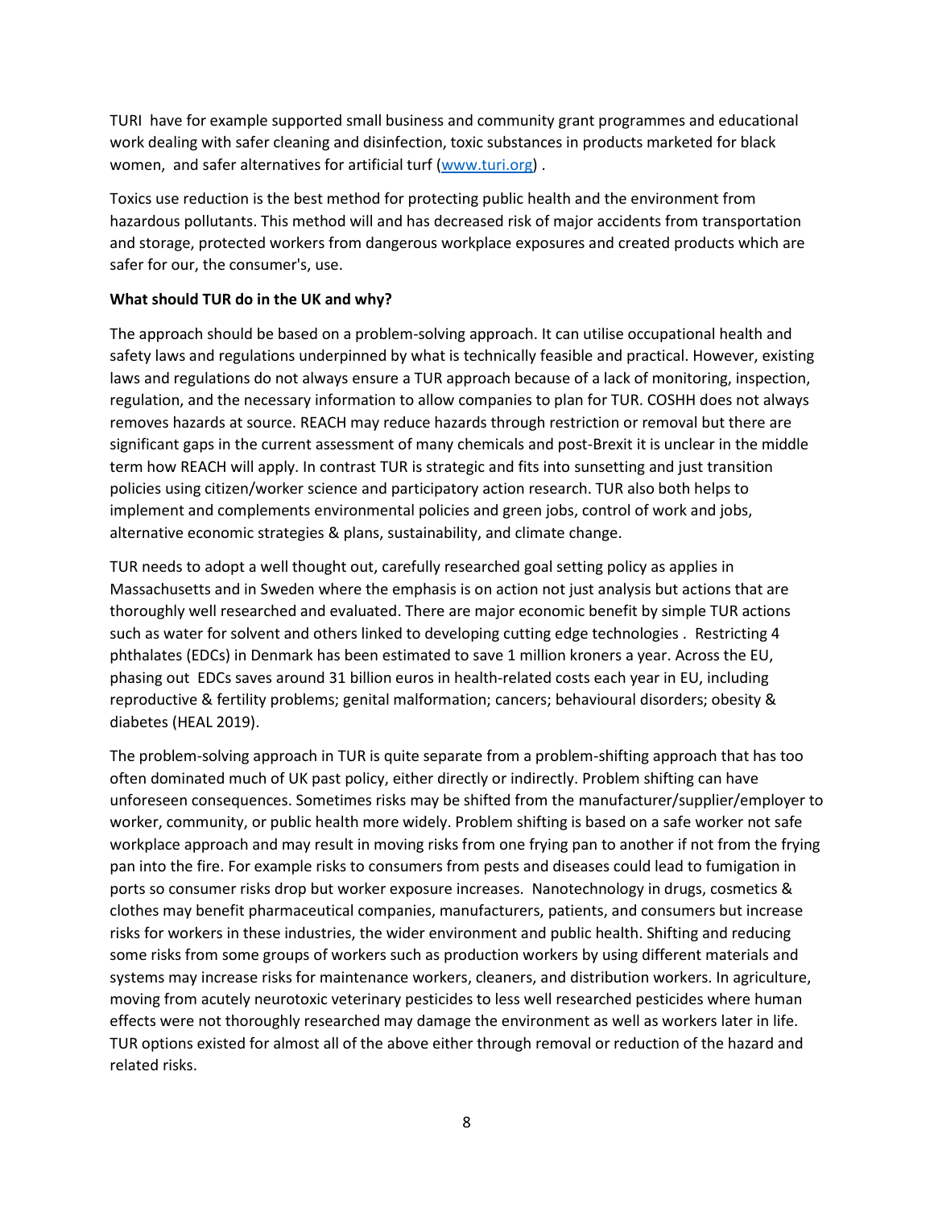TURI have for example supported small business and community grant programmes and educational work dealing with safer cleaning and disinfection, toxic substances in products marketed for black women, and safer alternatives for artificial turf [\(www.turi.org\)](http://www.turi.org/) .

Toxics use reduction is the best method for protecting public health and the environment from hazardous pollutants. This method will and has decreased risk of major accidents from transportation and storage, protected workers from dangerous workplace exposures and created products which are safer for our, the consumer's, use.

#### **What should TUR do in the UK and why?**

The approach should be based on a problem-solving approach. It can utilise occupational health and safety laws and regulations underpinned by what is technically feasible and practical. However, existing laws and regulations do not always ensure a TUR approach because of a lack of monitoring, inspection, regulation, and the necessary information to allow companies to plan for TUR. COSHH does not always removes hazards at source. REACH may reduce hazards through restriction or removal but there are significant gaps in the current assessment of many chemicals and post-Brexit it is unclear in the middle term how REACH will apply. In contrast TUR is strategic and fits into sunsetting and just transition policies using citizen/worker science and participatory action research. TUR also both helps to implement and complements environmental policies and green jobs, control of work and jobs, alternative economic strategies & plans, sustainability, and climate change.

TUR needs to adopt a well thought out, carefully researched goal setting policy as applies in Massachusetts and in Sweden where the emphasis is on action not just analysis but actions that are thoroughly well researched and evaluated. There are major economic benefit by simple TUR actions such as water for solvent and others linked to developing cutting edge technologies . Restricting 4 phthalates (EDCs) in Denmark has been estimated to save 1 million kroners a year. Across the EU, phasing out EDCs saves around 31 billion euros in health-related costs each year in EU, including reproductive & fertility problems; genital malformation; cancers; behavioural disorders; obesity & diabetes (HEAL 2019).

The problem-solving approach in TUR is quite separate from a problem-shifting approach that has too often dominated much of UK past policy, either directly or indirectly. Problem shifting can have unforeseen consequences. Sometimes risks may be shifted from the manufacturer/supplier/employer to worker, community, or public health more widely. Problem shifting is based on a safe worker not safe workplace approach and may result in moving risks from one frying pan to another if not from the frying pan into the fire. For example risks to consumers from pests and diseases could lead to fumigation in ports so consumer risks drop but worker exposure increases. Nanotechnology in drugs, cosmetics & clothes may benefit pharmaceutical companies, manufacturers, patients, and consumers but increase risks for workers in these industries, the wider environment and public health. Shifting and reducing some risks from some groups of workers such as production workers by using different materials and systems may increase risks for maintenance workers, cleaners, and distribution workers. In agriculture, moving from acutely neurotoxic veterinary pesticides to less well researched pesticides where human effects were not thoroughly researched may damage the environment as well as workers later in life. TUR options existed for almost all of the above either through removal or reduction of the hazard and related risks.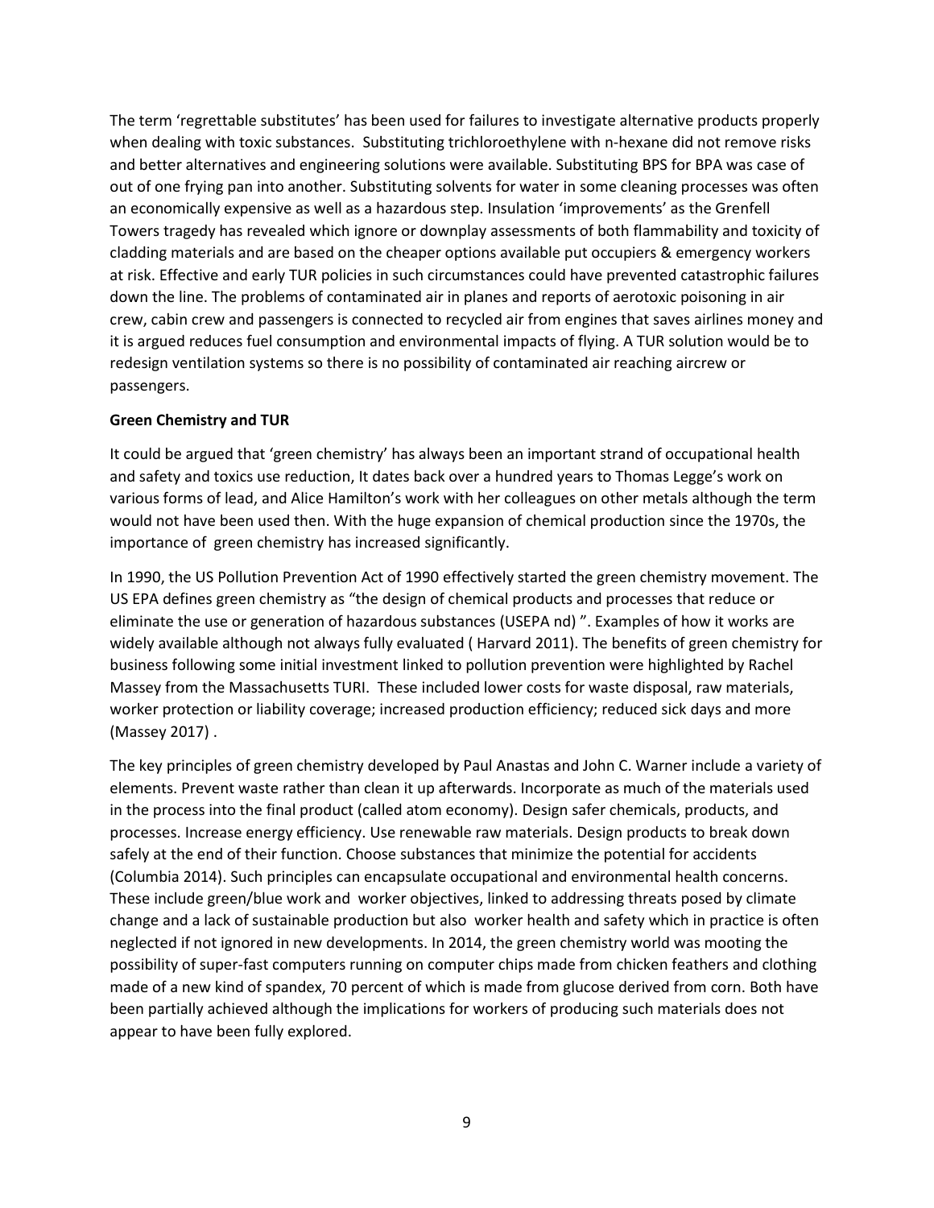The term 'regrettable substitutes' has been used for failures to investigate alternative products properly when dealing with toxic substances. Substituting trichloroethylene with n-hexane did not remove risks and better alternatives and engineering solutions were available. Substituting BPS for BPA was case of out of one frying pan into another. Substituting solvents for water in some cleaning processes was often an economically expensive as well as a hazardous step. Insulation 'improvements' as the Grenfell Towers tragedy has revealed which ignore or downplay assessments of both flammability and toxicity of cladding materials and are based on the cheaper options available put occupiers & emergency workers at risk. Effective and early TUR policies in such circumstances could have prevented catastrophic failures down the line. The problems of contaminated air in planes and reports of aerotoxic poisoning in air crew, cabin crew and passengers is connected to recycled air from engines that saves airlines money and it is argued reduces fuel consumption and environmental impacts of flying. A TUR solution would be to redesign ventilation systems so there is no possibility of contaminated air reaching aircrew or passengers.

#### **Green Chemistry and TUR**

It could be argued that 'green chemistry' has always been an important strand of occupational health and safety and toxics use reduction, It dates back over a hundred years to Thomas Legge's work on various forms of lead, and Alice Hamilton's work with her colleagues on other metals although the term would not have been used then. With the huge expansion of chemical production since the 1970s, the importance of green chemistry has increased significantly.

In 1990, the US Pollution Prevention Act of 1990 effectively started the green chemistry movement. The US EPA defines green chemistry as "the design of chemical products and processes that reduce or eliminate the use or generation of hazardous substances (USEPA nd) ". Examples of how it works are widely available although not always fully evaluated ( Harvard 2011). The benefits of green chemistry for business following some initial investment linked to pollution prevention were highlighted by Rachel Massey from the Massachusetts TURI. These included lower costs for waste disposal, raw materials, worker protection or liability coverage; increased production efficiency; reduced sick days and more (Massey 2017) .

The key principles of green chemistry developed by Paul Anastas and John C. Warner include a variety of elements. Prevent waste rather than clean it up afterwards. Incorporate as much of the materials used in the process into the final product (called atom economy). Design safer chemicals, products, and processes. Increase energy efficiency. Use renewable raw materials. Design products to break down safely at the end of their function. Choose substances that minimize the potential for accidents (Columbia 2014). Such principles can encapsulate occupational and environmental health concerns. These include green/blue work and worker objectives, linked to addressing threats posed by climate change and a lack of sustainable production but also worker health and safety which in practice is often neglected if not ignored in new developments. In 2014, the green chemistry world was mooting the possibility of super-fast computers running on computer chips made from chicken feathers and clothing made of a new kind of spandex, 70 percent of which is made from glucose derived from corn. Both have been partially achieved although the implications for workers of producing such materials does not appear to have been fully explored.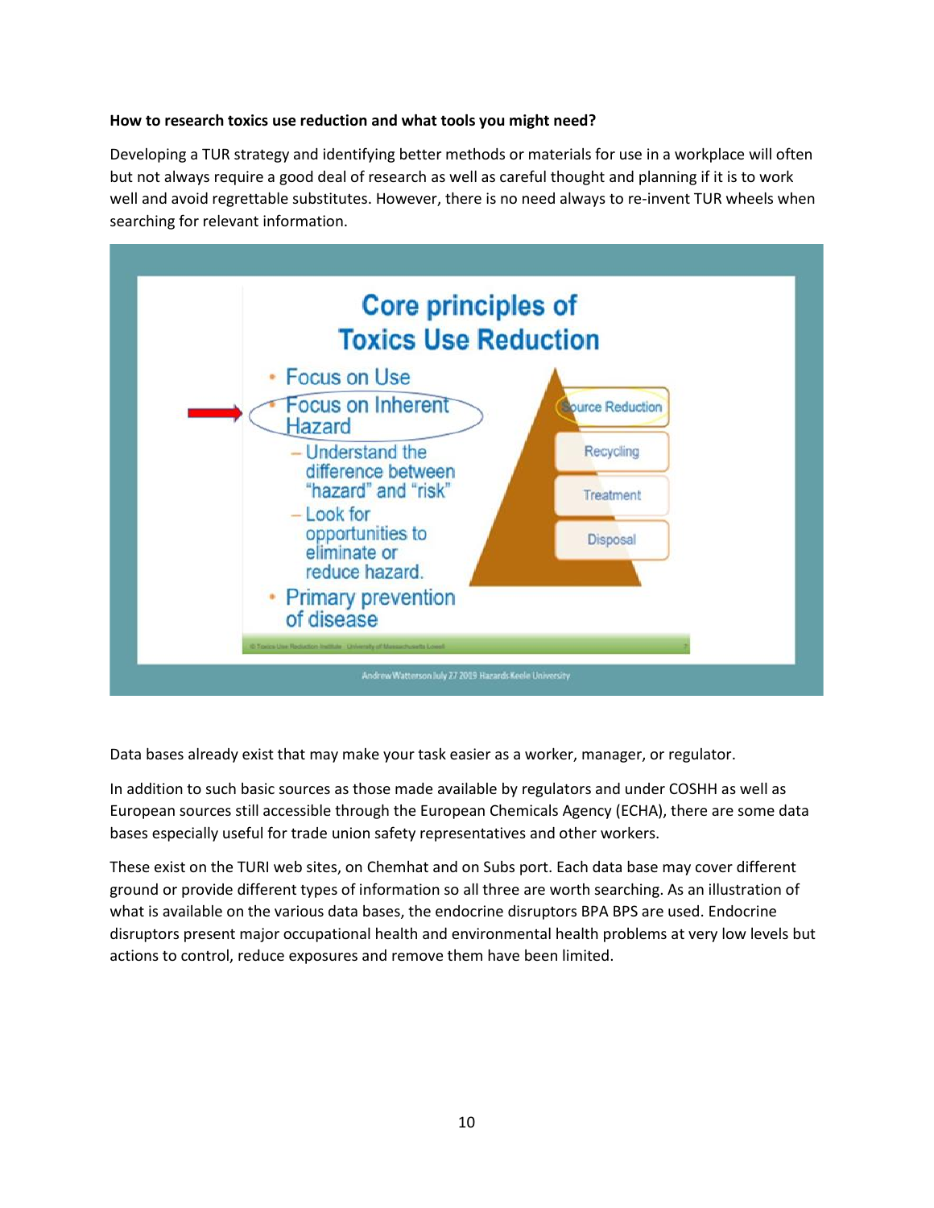#### **How to research toxics use reduction and what tools you might need?**

Developing a TUR strategy and identifying better methods or materials for use in a workplace will often but not always require a good deal of research as well as careful thought and planning if it is to work well and avoid regrettable substitutes. However, there is no need always to re-invent TUR wheels when searching for relevant information.



Data bases already exist that may make your task easier as a worker, manager, or regulator.

In addition to such basic sources as those made available by regulators and under COSHH as well as European sources still accessible through the European Chemicals Agency (ECHA), there are some data bases especially useful for trade union safety representatives and other workers.

These exist on the TURI web sites, on Chemhat and on Subs port. Each data base may cover different ground or provide different types of information so all three are worth searching. As an illustration of what is available on the various data bases, the endocrine disruptors BPA BPS are used. Endocrine disruptors present major occupational health and environmental health problems at very low levels but actions to control, reduce exposures and remove them have been limited.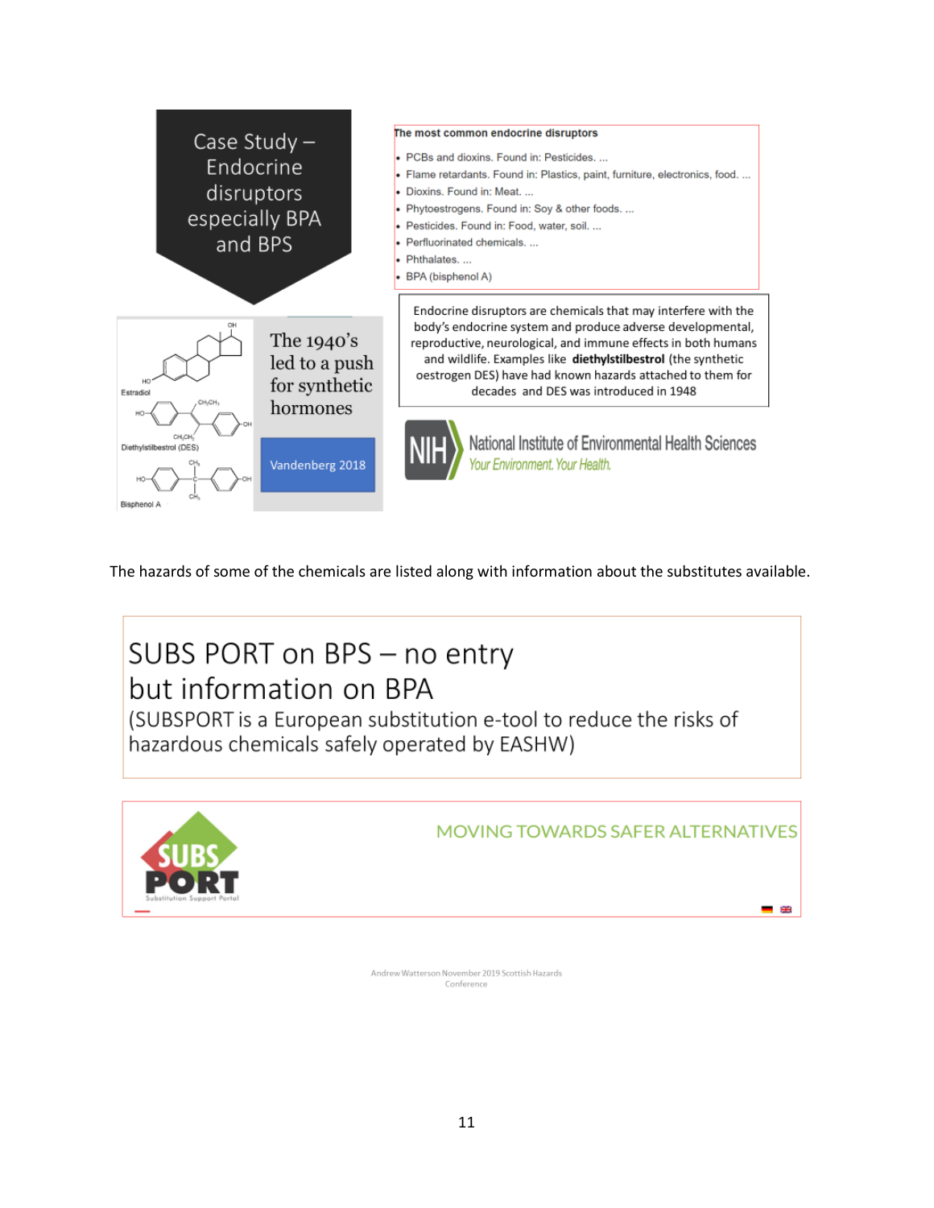

The hazards of some of the chemicals are listed along with information about the substitutes available.

# SUBS PORT on BPS - no entry but information on BPA

(SUBSPORT is a European substitution e-tool to reduce the risks of hazardous chemicals safely operated by EASHW)



Andrew Watterson November 2019 Scottish Hazards Conference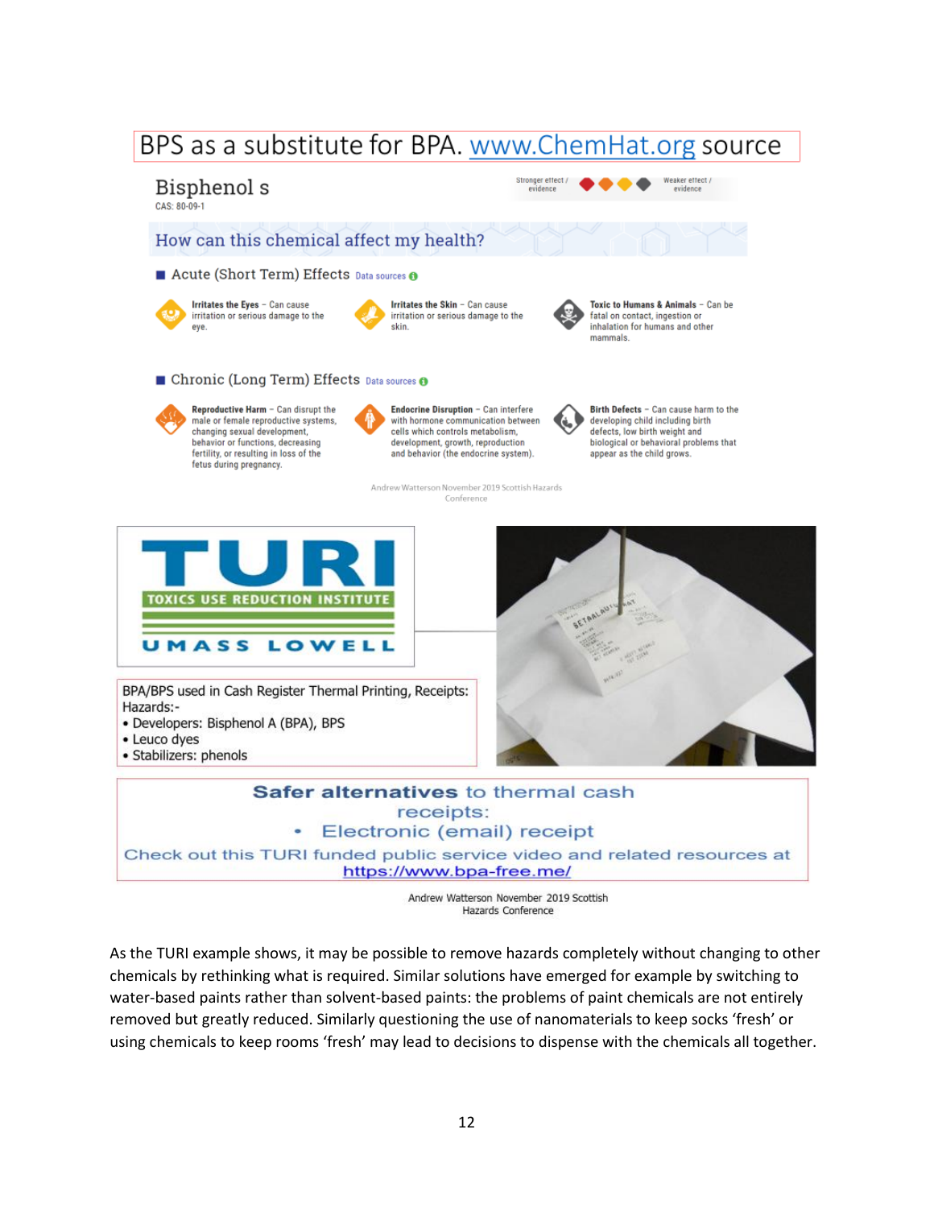

 $\bullet$ Electronic (email) receipt

Check out this TURI funded public service video and related resources at https://www.bpa-free.me/

> Andrew Watterson November 2019 Scottish Hazards Conference

As the TURI example shows, it may be possible to remove hazards completely without changing to other chemicals by rethinking what is required. Similar solutions have emerged for example by switching to water-based paints rather than solvent-based paints: the problems of paint chemicals are not entirely removed but greatly reduced. Similarly questioning the use of nanomaterials to keep socks 'fresh' or using chemicals to keep rooms 'fresh' may lead to decisions to dispense with the chemicals all together.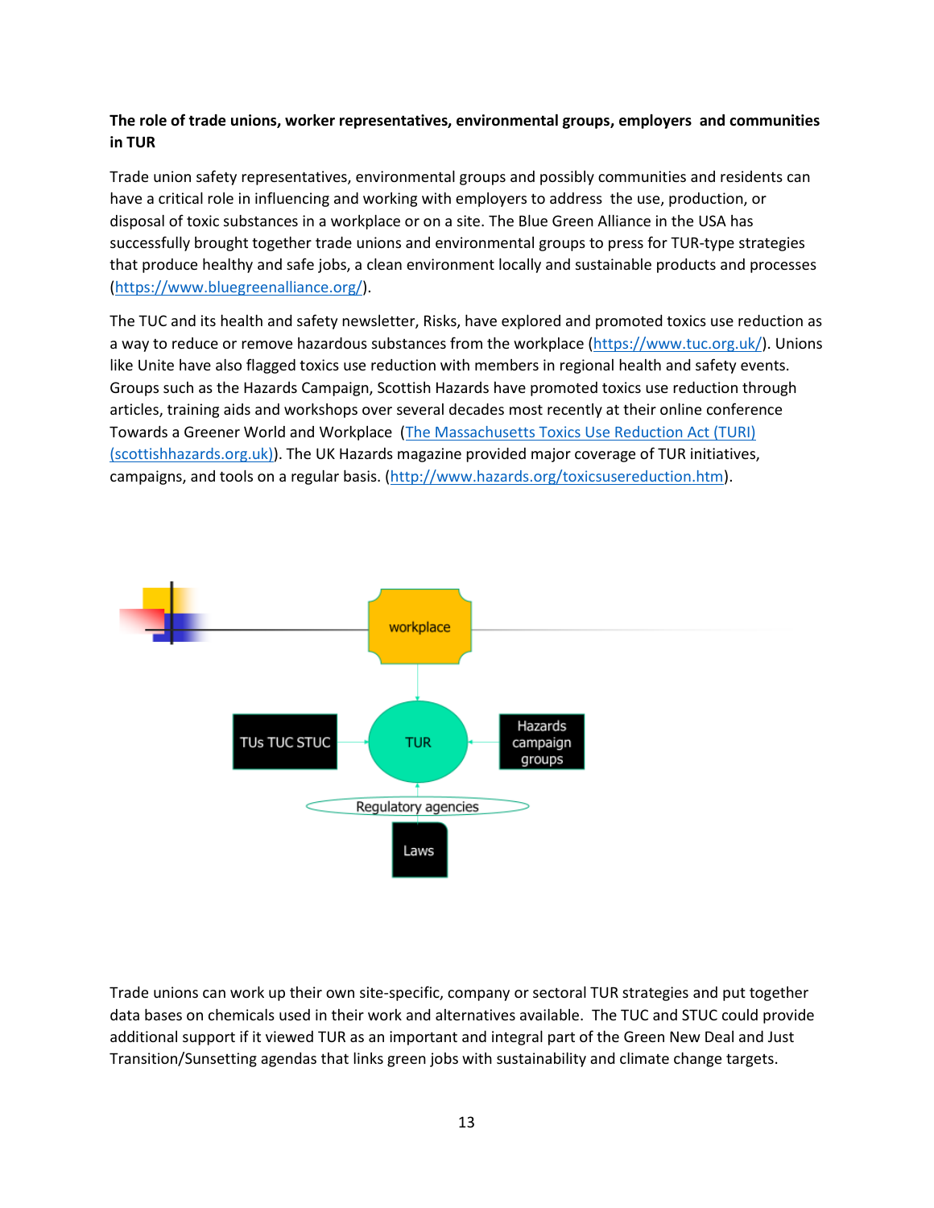# **The role of trade unions, worker representatives, environmental groups, employers and communities in TUR**

Trade union safety representatives, environmental groups and possibly communities and residents can have a critical role in influencing and working with employers to address the use, production, or disposal of toxic substances in a workplace or on a site. The Blue Green Alliance in the USA has successfully brought together trade unions and environmental groups to press for TUR-type strategies that produce healthy and safe jobs, a clean environment locally and sustainable products and processes [\(https://www.bluegreenalliance.org/\)](https://www.bluegreenalliance.org/).

The TUC and its health and safety newsletter, Risks, have explored and promoted toxics use reduction as a way to reduce or remove hazardous substances from the workplace [\(https://www.tuc.org.uk/\)](https://www.tuc.org.uk/). Unions like Unite have also flagged toxics use reduction with members in regional health and safety events. Groups such as the Hazards Campaign, Scottish Hazards have promoted toxics use reduction through articles, training aids and workshops over several decades most recently at their online conference Towards a Greener World and Workplace [\(The Massachusetts Toxics Use Reduction Act \(TURI\)](https://www.scottishhazards.org.uk/wp-content/uploads/2020/12/Massey-Scottish-Hazards-Conference-Dec-4-2020-1-1.pdf)  [\(scottishhazards.org.uk\)\)](https://www.scottishhazards.org.uk/wp-content/uploads/2020/12/Massey-Scottish-Hazards-Conference-Dec-4-2020-1-1.pdf). The UK Hazards magazine provided major coverage of TUR initiatives, campaigns, and tools on a regular basis. [\(http://www.hazards.org/toxicsusereduction.htm\)](http://www.hazards.org/toxicsusereduction.htm).



Trade unions can work up their own site-specific, company or sectoral TUR strategies and put together data bases on chemicals used in their work and alternatives available. The TUC and STUC could provide additional support if it viewed TUR as an important and integral part of the Green New Deal and Just Transition/Sunsetting agendas that links green jobs with sustainability and climate change targets.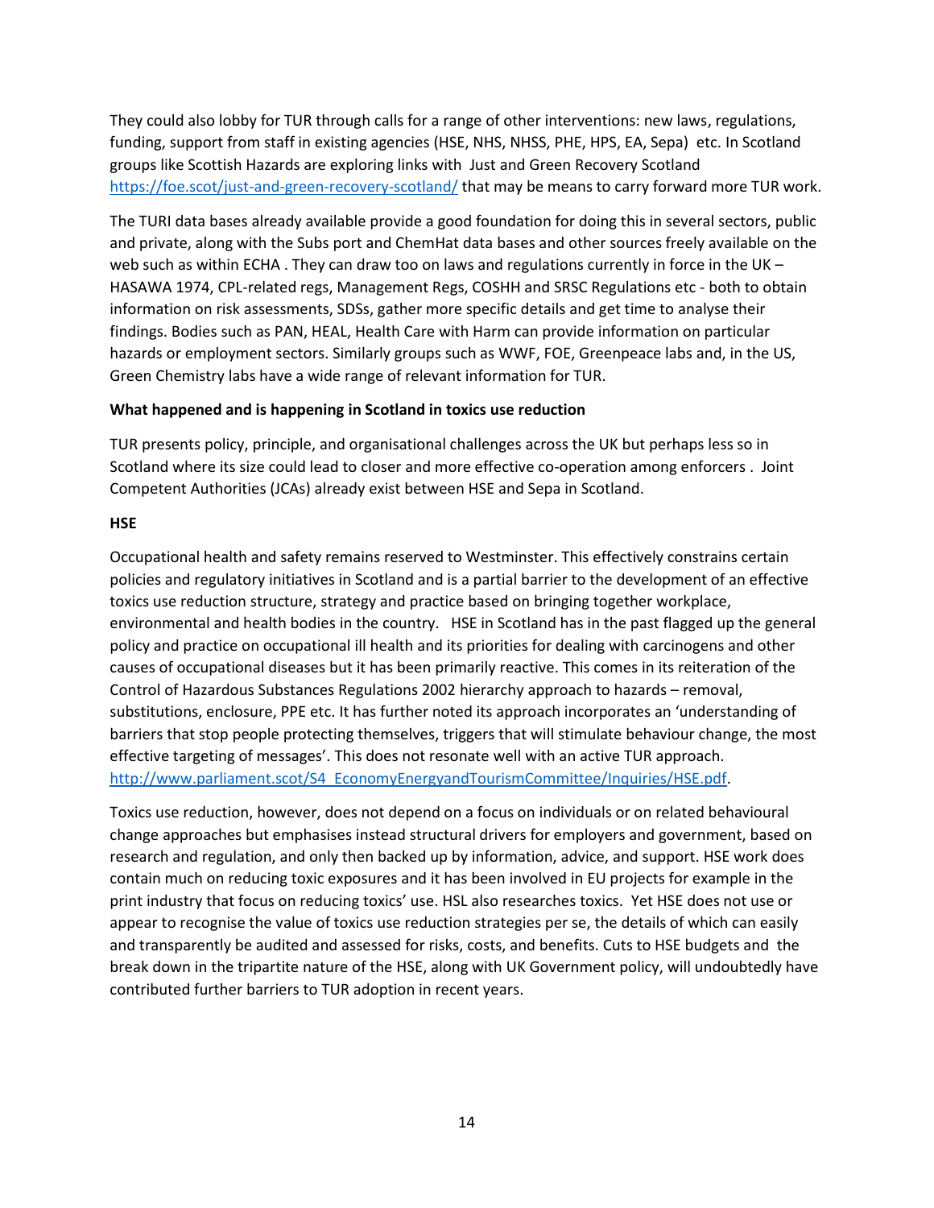They could also lobby for TUR through calls for a range of other interventions: new laws, regulations, funding, support from staff in existing agencies (HSE, NHS, NHSS, PHE, HPS, EA, Sepa) etc. In Scotland groups like Scottish Hazards are exploring links with Just and Green Recovery Scotland <https://foe.scot/just-and-green-recovery-scotland/> that may be means to carry forward more TUR work.

The TURI data bases already available provide a good foundation for doing this in several sectors, public and private, along with the Subs port and ChemHat data bases and other sources freely available on the web such as within ECHA . They can draw too on laws and regulations currently in force in the UK – HASAWA 1974, CPL-related regs, Management Regs, COSHH and SRSC Regulations etc - both to obtain information on risk assessments, SDSs, gather more specific details and get time to analyse their findings. Bodies such as PAN, HEAL, Health Care with Harm can provide information on particular hazards or employment sectors. Similarly groups such as WWF, FOE, Greenpeace labs and, in the US, Green Chemistry labs have a wide range of relevant information for TUR.

# **What happened and is happening in Scotland in toxics use reduction**

TUR presents policy, principle, and organisational challenges across the UK but perhaps less so in Scotland where its size could lead to closer and more effective co-operation among enforcers . Joint Competent Authorities (JCAs) already exist between HSE and Sepa in Scotland.

#### **HSE**

Occupational health and safety remains reserved to Westminster. This effectively constrains certain policies and regulatory initiatives in Scotland and is a partial barrier to the development of an effective toxics use reduction structure, strategy and practice based on bringing together workplace, environmental and health bodies in the country. HSE in Scotland has in the past flagged up the general policy and practice on occupational ill health and its priorities for dealing with carcinogens and other causes of occupational diseases but it has been primarily reactive. This comes in its reiteration of the Control of Hazardous Substances Regulations 2002 hierarchy approach to hazards – removal, substitutions, enclosure, PPE etc. It has further noted its approach incorporates an 'understanding of barriers that stop people protecting themselves, triggers that will stimulate behaviour change, the most effective targeting of messages'. This does not resonate well with an active TUR approach. [http://www.parliament.scot/S4\\_EconomyEnergyandTourismCommittee/Inquiries/HSE.pdf.](http://www.parliament.scot/S4_EconomyEnergyandTourismCommittee/Inquiries/HSE.pdf)

Toxics use reduction, however, does not depend on a focus on individuals or on related behavioural change approaches but emphasises instead structural drivers for employers and government, based on research and regulation, and only then backed up by information, advice, and support. HSE work does contain much on reducing toxic exposures and it has been involved in EU projects for example in the print industry that focus on reducing toxics' use. HSL also researches toxics. Yet HSE does not use or appear to recognise the value of toxics use reduction strategies per se, the details of which can easily and transparently be audited and assessed for risks, costs, and benefits. Cuts to HSE budgets and the break down in the tripartite nature of the HSE, along with UK Government policy, will undoubtedly have contributed further barriers to TUR adoption in recent years.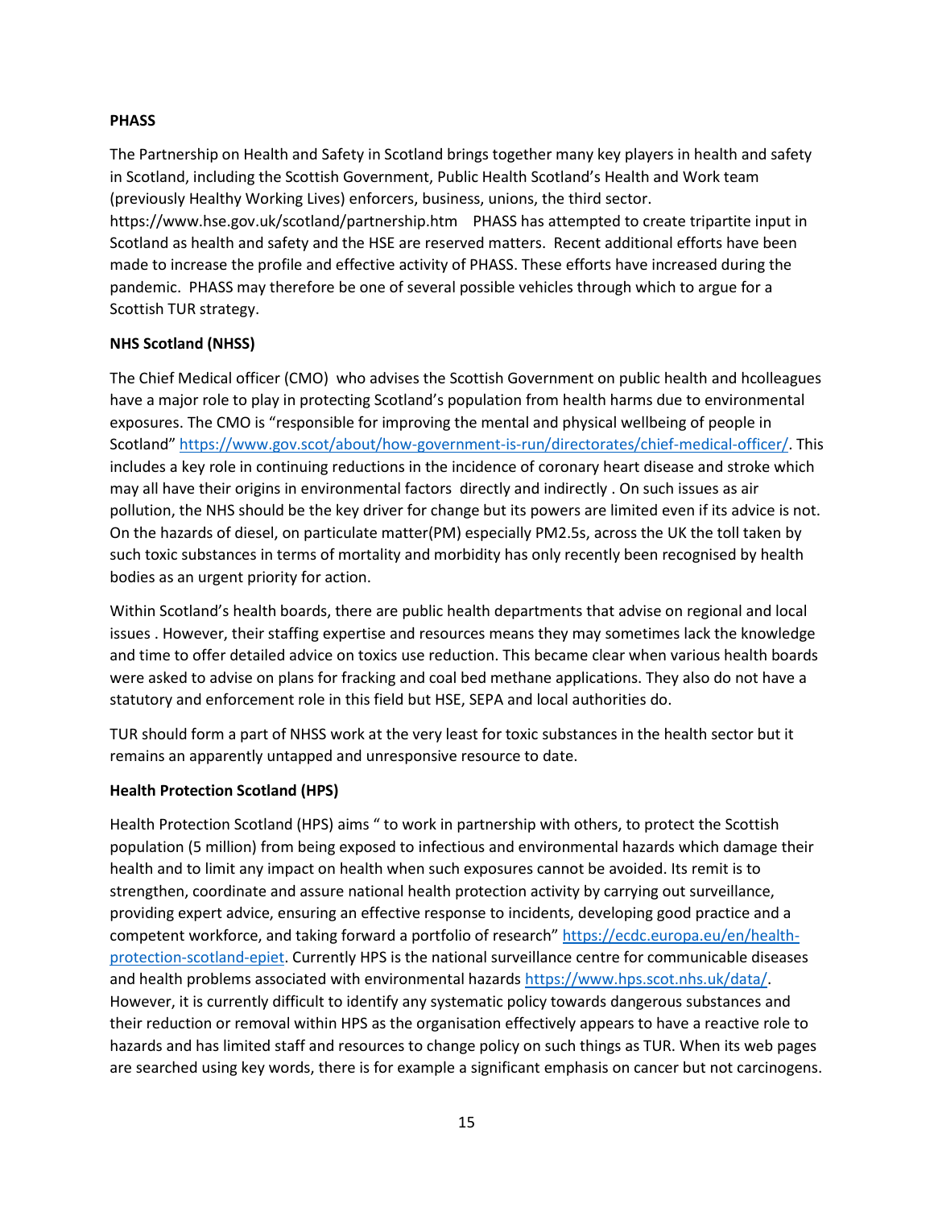#### **PHASS**

The Partnership on Health and Safety in Scotland brings together many key players in health and safety in Scotland, including the Scottish Government, Public Health Scotland's Health and Work team (previously Healthy Working Lives) enforcers, business, unions, the third sector.

https://www.hse.gov.uk/scotland/partnership.htm PHASS has attempted to create tripartite input in Scotland as health and safety and the HSE are reserved matters. Recent additional efforts have been made to increase the profile and effective activity of PHASS. These efforts have increased during the pandemic. PHASS may therefore be one of several possible vehicles through which to argue for a Scottish TUR strategy.

#### **NHS Scotland (NHSS)**

The Chief Medical officer (CMO) who advises the Scottish Government on public health and hcolleagues have a major role to play in protecting Scotland's population from health harms due to environmental exposures. The CMO is "responsible for improving the mental and physical wellbeing of people in Scotland" [https://www.gov.scot/about/how-government-is-run/directorates/chief-medical-officer/.](https://www.gov.scot/about/how-government-is-run/directorates/chief-medical-officer/) This includes a key role in continuing reductions in the incidence of coronary heart disease and stroke which may all have their origins in environmental factors directly and indirectly . On such issues as air pollution, the NHS should be the key driver for change but its powers are limited even if its advice is not. On the hazards of diesel, on particulate matter(PM) especially PM2.5s, across the UK the toll taken by such toxic substances in terms of mortality and morbidity has only recently been recognised by health bodies as an urgent priority for action.

Within Scotland's health boards, there are public health departments that advise on regional and local issues . However, their staffing expertise and resources means they may sometimes lack the knowledge and time to offer detailed advice on toxics use reduction. This became clear when various health boards were asked to advise on plans for fracking and coal bed methane applications. They also do not have a statutory and enforcement role in this field but HSE, SEPA and local authorities do.

TUR should form a part of NHSS work at the very least for toxic substances in the health sector but it remains an apparently untapped and unresponsive resource to date.

#### **Health Protection Scotland (HPS)**

Health Protection Scotland (HPS) aims " to work in partnership with others, to protect the Scottish population (5 million) from being exposed to infectious and environmental hazards which damage their health and to limit any impact on health when such exposures cannot be avoided. Its remit is to strengthen, coordinate and assure national health protection activity by carrying out surveillance, providing expert advice, ensuring an effective response to incidents, developing good practice and a competent workforce, and taking forward a portfolio of research" [https://ecdc.europa.eu/en/health](https://ecdc.europa.eu/en/health-protection-scotland-epiet)[protection-scotland-epiet.](https://ecdc.europa.eu/en/health-protection-scotland-epiet) Currently HPS is the national surveillance centre for communicable diseases and health problems associated with environmental hazards [https://www.hps.scot.nhs.uk/data/.](https://www.hps.scot.nhs.uk/data/) However, it is currently difficult to identify any systematic policy towards dangerous substances and their reduction or removal within HPS as the organisation effectively appears to have a reactive role to hazards and has limited staff and resources to change policy on such things as TUR. When its web pages are searched using key words, there is for example a significant emphasis on cancer but not carcinogens.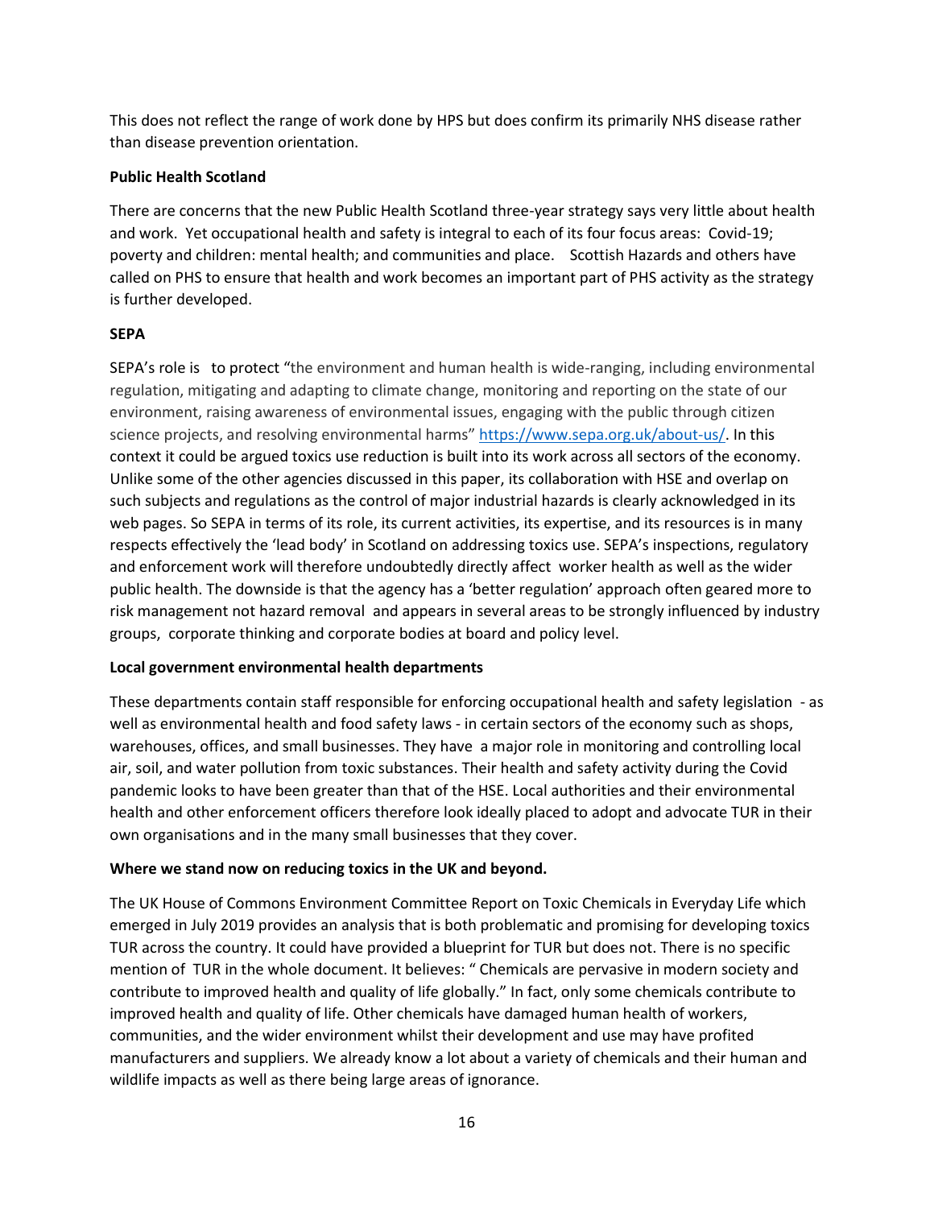This does not reflect the range of work done by HPS but does confirm its primarily NHS disease rather than disease prevention orientation.

# **Public Health Scotland**

There are concerns that the new Public Health Scotland three-year strategy says very little about health and work. Yet occupational health and safety is integral to each of its four focus areas: Covid-19; poverty and children: mental health; and communities and place. Scottish Hazards and others have called on PHS to ensure that health and work becomes an important part of PHS activity as the strategy is further developed.

# **SEPA**

SEPA's role is to protect "the environment and human health is wide-ranging, including environmental regulation, mitigating and adapting to climate change, monitoring and reporting on the state of our environment, raising awareness of environmental issues, engaging with the public through citizen science projects, and resolving environmental harms" [https://www.sepa.org.uk/about-us/.](https://www.sepa.org.uk/about-us/) In this context it could be argued toxics use reduction is built into its work across all sectors of the economy. Unlike some of the other agencies discussed in this paper, its collaboration with HSE and overlap on such subjects and regulations as the control of major industrial hazards is clearly acknowledged in its web pages. So SEPA in terms of its role, its current activities, its expertise, and its resources is in many respects effectively the 'lead body' in Scotland on addressing toxics use. SEPA's inspections, regulatory and enforcement work will therefore undoubtedly directly affect worker health as well as the wider public health. The downside is that the agency has a 'better regulation' approach often geared more to risk management not hazard removal and appears in several areas to be strongly influenced by industry groups, corporate thinking and corporate bodies at board and policy level.

# **Local government environmental health departments**

These departments contain staff responsible for enforcing occupational health and safety legislation - as well as environmental health and food safety laws - in certain sectors of the economy such as shops, warehouses, offices, and small businesses. They have a major role in monitoring and controlling local air, soil, and water pollution from toxic substances. Their health and safety activity during the Covid pandemic looks to have been greater than that of the HSE. Local authorities and their environmental health and other enforcement officers therefore look ideally placed to adopt and advocate TUR in their own organisations and in the many small businesses that they cover.

# **Where we stand now on reducing toxics in the UK and beyond.**

The UK House of Commons Environment Committee Report on Toxic Chemicals in Everyday Life which emerged in July 2019 provides an analysis that is both problematic and promising for developing toxics TUR across the country. It could have provided a blueprint for TUR but does not. There is no specific mention of TUR in the whole document. It believes: " Chemicals are pervasive in modern society and contribute to improved health and quality of life globally." In fact, only some chemicals contribute to improved health and quality of life. Other chemicals have damaged human health of workers, communities, and the wider environment whilst their development and use may have profited manufacturers and suppliers. We already know a lot about a variety of chemicals and their human and wildlife impacts as well as there being large areas of ignorance.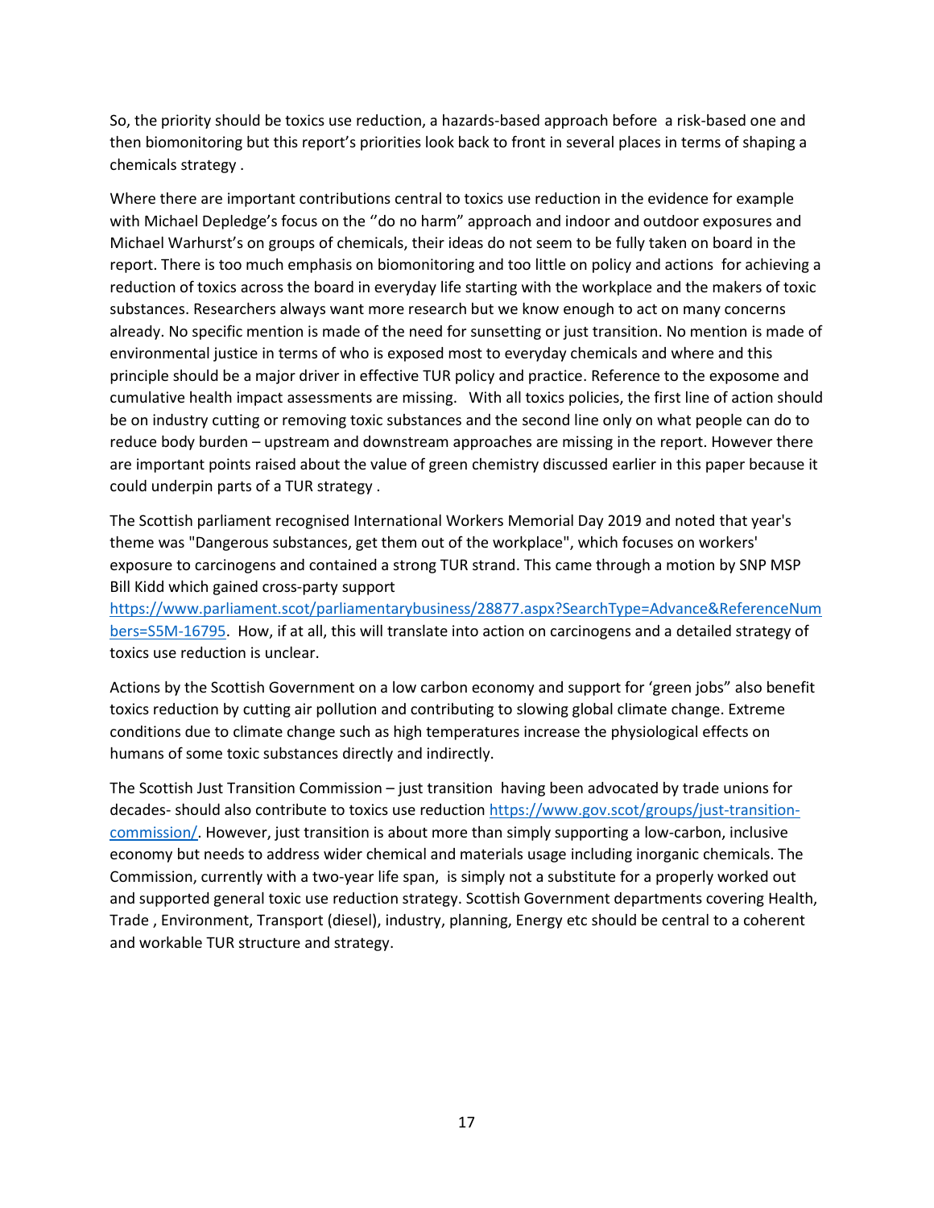So, the priority should be toxics use reduction, a hazards-based approach before a risk-based one and then biomonitoring but this report's priorities look back to front in several places in terms of shaping a chemicals strategy .

Where there are important contributions central to toxics use reduction in the evidence for example with Michael Depledge's focus on the ''do no harm" approach and indoor and outdoor exposures and Michael Warhurst's on groups of chemicals, their ideas do not seem to be fully taken on board in the report. There is too much emphasis on biomonitoring and too little on policy and actions for achieving a reduction of toxics across the board in everyday life starting with the workplace and the makers of toxic substances. Researchers always want more research but we know enough to act on many concerns already. No specific mention is made of the need for sunsetting or just transition. No mention is made of environmental justice in terms of who is exposed most to everyday chemicals and where and this principle should be a major driver in effective TUR policy and practice. Reference to the exposome and cumulative health impact assessments are missing. With all toxics policies, the first line of action should be on industry cutting or removing toxic substances and the second line only on what people can do to reduce body burden – upstream and downstream approaches are missing in the report. However there are important points raised about the value of green chemistry discussed earlier in this paper because it could underpin parts of a TUR strategy .

The Scottish parliament recognised International Workers Memorial Day 2019 and noted that year's theme was "Dangerous substances, get them out of the workplace", which focuses on workers' exposure to carcinogens and contained a strong TUR strand. This came through a motion by SNP MSP Bill Kidd which gained cross-party support

[https://www.parliament.scot/parliamentarybusiness/28877.aspx?SearchType=Advance&ReferenceNum](https://www.parliament.scot/parliamentarybusiness/28877.aspx?SearchType=Advance&ReferenceNumbers=S5M-16795) [bers=S5M-16795.](https://www.parliament.scot/parliamentarybusiness/28877.aspx?SearchType=Advance&ReferenceNumbers=S5M-16795) How, if at all, this will translate into action on carcinogens and a detailed strategy of toxics use reduction is unclear.

Actions by the Scottish Government on a low carbon economy and support for 'green jobs" also benefit toxics reduction by cutting air pollution and contributing to slowing global climate change. Extreme conditions due to climate change such as high temperatures increase the physiological effects on humans of some toxic substances directly and indirectly.

The Scottish Just Transition Commission – just transition having been advocated by trade unions for decades- should also contribute to toxics use reduction [https://www.gov.scot/groups/just-transition](https://www.gov.scot/groups/just-transition-commission/)[commission/.](https://www.gov.scot/groups/just-transition-commission/) However, just transition is about more than simply supporting a low-carbon, inclusive economy but needs to address wider chemical and materials usage including inorganic chemicals. The Commission, currently with a two-year life span, is simply not a substitute for a properly worked out and supported general toxic use reduction strategy. Scottish Government departments covering Health, Trade , Environment, Transport (diesel), industry, planning, Energy etc should be central to a coherent and workable TUR structure and strategy.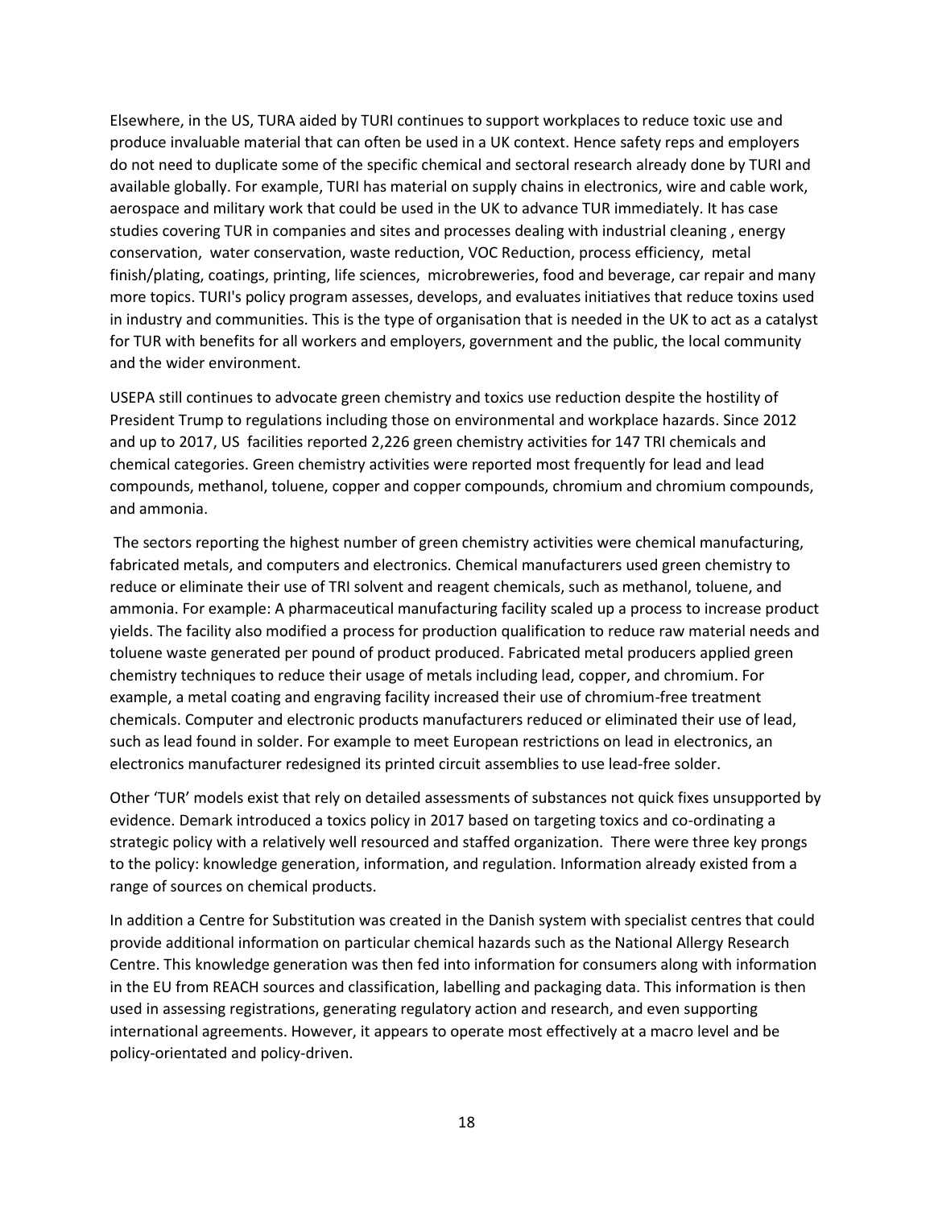Elsewhere, in the US, TURA aided by TURI continues to support workplaces to reduce toxic use and produce invaluable material that can often be used in a UK context. Hence safety reps and employers do not need to duplicate some of the specific chemical and sectoral research already done by TURI and available globally. For example, TURI has material on supply chains in electronics, wire and cable work, aerospace and military work that could be used in the UK to advance TUR immediately. It has case studies covering TUR in companies and sites and processes dealing with industrial cleaning , energy conservation, water conservation, waste reduction, VOC Reduction, process efficiency, metal finish/plating, coatings, printing, life sciences, microbreweries, food and beverage, car repair and many more topics. TURI's policy program assesses, develops, and evaluates initiatives that reduce toxins used in industry and communities. This is the type of organisation that is needed in the UK to act as a catalyst for TUR with benefits for all workers and employers, government and the public, the local community and the wider environment.

USEPA still continues to advocate green chemistry and toxics use reduction despite the hostility of President Trump to regulations including those on environmental and workplace hazards. Since 2012 and up to 2017, US facilities reported 2,226 green chemistry activities for 147 TRI chemicals and chemical categories. Green chemistry activities were reported most frequently for lead and lead compounds, methanol, toluene, copper and copper compounds, chromium and chromium compounds, and ammonia.

The sectors reporting the highest number of green chemistry activities were chemical manufacturing, fabricated metals, and computers and electronics. Chemical manufacturers used green chemistry to reduce or eliminate their use of TRI solvent and reagent chemicals, such as methanol, toluene, and ammonia. For example: A pharmaceutical manufacturing facility scaled up a process to increase product yields. The facility also modified a process for production qualification to reduce raw material needs and toluene waste generated per pound of product produced. Fabricated metal producers applied green chemistry techniques to reduce their usage of metals including lead, copper, and chromium. For example, a metal coating and engraving facility increased their use of chromium-free treatment chemicals. Computer and electronic products manufacturers reduced or eliminated their use of lead, such as lead found in solder. For example to meet European restrictions on lead in electronics, an electronics manufacturer redesigned its printed circuit assemblies to use lead-free solder.

Other 'TUR' models exist that rely on detailed assessments of substances not quick fixes unsupported by evidence. Demark introduced a toxics policy in 2017 based on targeting toxics and co-ordinating a strategic policy with a relatively well resourced and staffed organization. There were three key prongs to the policy: knowledge generation, information, and regulation. Information already existed from a range of sources on chemical products.

In addition a Centre for Substitution was created in the Danish system with specialist centres that could provide additional information on particular chemical hazards such as the National Allergy Research Centre. This knowledge generation was then fed into information for consumers along with information in the EU from REACH sources and classification, labelling and packaging data. This information is then used in assessing registrations, generating regulatory action and research, and even supporting international agreements. However, it appears to operate most effectively at a macro level and be policy-orientated and policy-driven.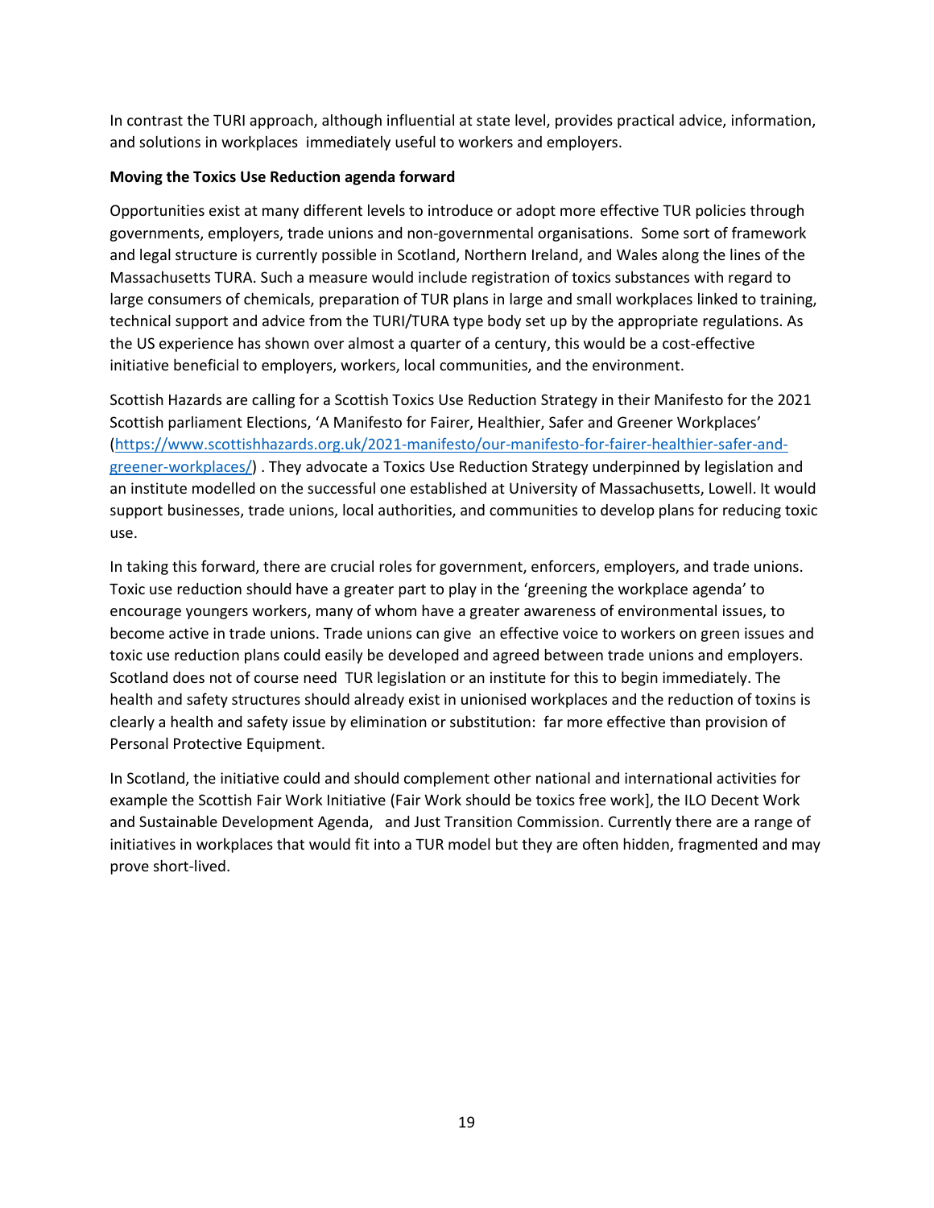In contrast the TURI approach, although influential at state level, provides practical advice, information, and solutions in workplaces immediately useful to workers and employers.

# **Moving the Toxics Use Reduction agenda forward**

Opportunities exist at many different levels to introduce or adopt more effective TUR policies through governments, employers, trade unions and non-governmental organisations. Some sort of framework and legal structure is currently possible in Scotland, Northern Ireland, and Wales along the lines of the Massachusetts TURA. Such a measure would include registration of toxics substances with regard to large consumers of chemicals, preparation of TUR plans in large and small workplaces linked to training, technical support and advice from the TURI/TURA type body set up by the appropriate regulations. As the US experience has shown over almost a quarter of a century, this would be a cost-effective initiative beneficial to employers, workers, local communities, and the environment.

Scottish Hazards are calling for a Scottish Toxics Use Reduction Strategy in their Manifesto for the 2021 Scottish parliament Elections, 'A Manifesto for Fairer, Healthier, Safer and Greener Workplaces' [\(https://www.scottishhazards.org.uk/2021-manifesto/our-manifesto-for-fairer-healthier-safer-and](https://www.scottishhazards.org.uk/2021-manifesto/our-manifesto-for-fairer-healthier-safer-and-greener-workplaces/)[greener-workplaces/\)](https://www.scottishhazards.org.uk/2021-manifesto/our-manifesto-for-fairer-healthier-safer-and-greener-workplaces/) . They advocate a Toxics Use Reduction Strategy underpinned by legislation and an institute modelled on the successful one established at University of Massachusetts, Lowell. It would support businesses, trade unions, local authorities, and communities to develop plans for reducing toxic use.

In taking this forward, there are crucial roles for government, enforcers, employers, and trade unions. Toxic use reduction should have a greater part to play in the 'greening the workplace agenda' to encourage youngers workers, many of whom have a greater awareness of environmental issues, to become active in trade unions. Trade unions can give an effective voice to workers on green issues and toxic use reduction plans could easily be developed and agreed between trade unions and employers. Scotland does not of course need TUR legislation or an institute for this to begin immediately. The health and safety structures should already exist in unionised workplaces and the reduction of toxins is clearly a health and safety issue by elimination or substitution: far more effective than provision of Personal Protective Equipment.

In Scotland, the initiative could and should complement other national and international activities for example the Scottish Fair Work Initiative (Fair Work should be toxics free work], the ILO Decent Work and Sustainable Development Agenda, and Just Transition Commission. Currently there are a range of initiatives in workplaces that would fit into a TUR model but they are often hidden, fragmented and may prove short-lived.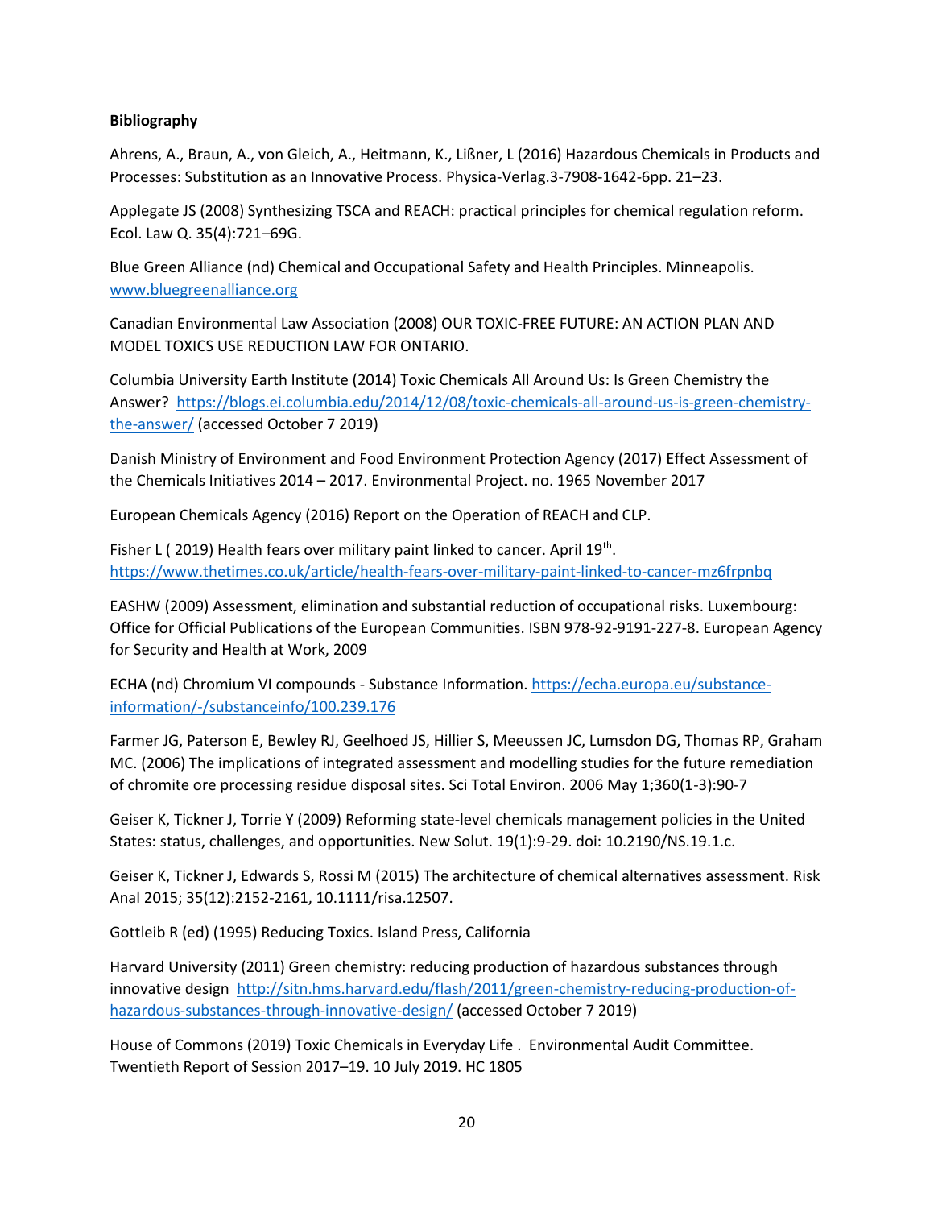#### **Bibliography**

Ahrens, A., Braun, A., von Gleich, A., Heitmann, K., Lißner, L (2016) Hazardous Chemicals in Products and Processes: Substitution as an Innovative Process. Physica-Verlag.3-7908-1642-6pp. 21–23.

Applegate JS (2008) Synthesizing TSCA and REACH: practical principles for chemical regulation reform. Ecol. Law Q. 35(4):721–69G.

Blue Green Alliance (nd) Chemical and Occupational Safety and Health Principles. Minneapolis. [www.bluegreenalliance.org](http://www.bluegreenalliance.org/)

Canadian Environmental Law Association (2008) OUR TOXIC-FREE FUTURE: AN ACTION PLAN AND MODEL TOXICS USE REDUCTION LAW FOR ONTARIO.

Columbia University Earth Institute (2014) Toxic Chemicals All Around Us: Is Green Chemistry the Answer? [https://blogs.ei.columbia.edu/2014/12/08/toxic-chemicals-all-around-us-is-green-chemistry](https://blogs.ei.columbia.edu/2014/12/08/toxic-chemicals-all-around-us-is-green-chemistry-the-answer/)[the-answer/](https://blogs.ei.columbia.edu/2014/12/08/toxic-chemicals-all-around-us-is-green-chemistry-the-answer/) (accessed October 7 2019)

Danish Ministry of Environment and Food Environment Protection Agency (2017) Effect Assessment of the Chemicals Initiatives 2014 – 2017. Environmental Project. no. 1965 November 2017

European Chemicals Agency (2016) Report on the Operation of REACH and CLP.

Fisher L (2019) Health fears over military paint linked to cancer. April 19<sup>th</sup>. <https://www.thetimes.co.uk/article/health-fears-over-military-paint-linked-to-cancer-mz6frpnbq>

EASHW (2009) Assessment, elimination and substantial reduction of occupational risks. Luxembourg: Office for Official Publications of the European Communities. ISBN 978-92-9191-227-8. European Agency for Security and Health at Work, 2009

ECHA (nd) Chromium VI compounds - Substance Information[. https://echa.europa.eu/substance](https://echa.europa.eu/substance-information/-/substanceinfo/100.239.176)[information/-/substanceinfo/100.239.176](https://echa.europa.eu/substance-information/-/substanceinfo/100.239.176)

Farmer JG, Paterson E, Bewley RJ, Geelhoed JS, Hillier S, Meeussen JC, Lumsdon DG, Thomas RP, Graham MC. (2006) The implications of integrated assessment and modelling studies for the future remediation of chromite ore processing residue disposal sites. Sci Total Environ. 2006 May 1;360(1-3):90-7

Geiser K, Tickner J, Torrie Y (2009) Reforming state-level chemicals management policies in the United States: status, challenges, and opportunities. New Solut. 19(1):9-29. doi: 10.2190/NS.19.1.c.

Geiser K, Tickner J, Edwards S, Rossi M (2015) The architecture of chemical alternatives assessment. Risk Anal 2015; 35(12):2152-2161, 10.1111/risa.12507.

Gottleib R (ed) (1995) Reducing Toxics. Island Press, California

Harvard University (2011) Green chemistry: reducing production of hazardous substances through innovative design [http://sitn.hms.harvard.edu/flash/2011/green-chemistry-reducing-production-of](http://sitn.hms.harvard.edu/flash/2011/green-chemistry-reducing-production-of-hazardous-substances-through-innovative-design/)[hazardous-substances-through-innovative-design/](http://sitn.hms.harvard.edu/flash/2011/green-chemistry-reducing-production-of-hazardous-substances-through-innovative-design/) (accessed October 7 2019)

House of Commons (2019) Toxic Chemicals in Everyday Life . Environmental Audit Committee. Twentieth Report of Session 2017–19. 10 July 2019. HC 1805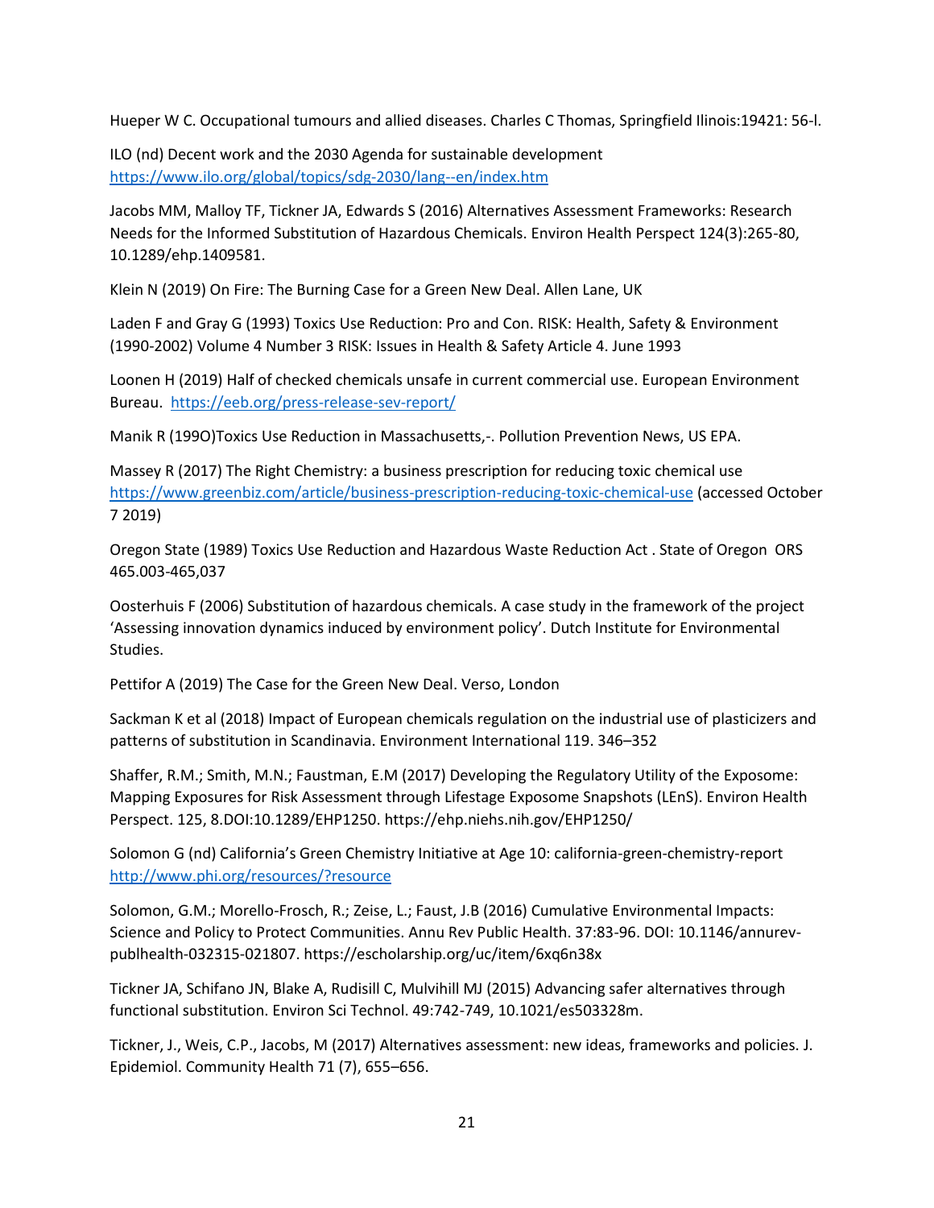Hueper W C. Occupational tumours and allied diseases. Charles C Thomas, Springfield Ilinois:19421: 56-l.

ILO (nd) Decent work and the 2030 Agenda for sustainable development <https://www.ilo.org/global/topics/sdg-2030/lang--en/index.htm>

Jacobs MM, Malloy TF, Tickner JA, Edwards S (2016) Alternatives Assessment Frameworks: Research Needs for the Informed Substitution of Hazardous Chemicals. Environ Health Perspect 124(3):265-80, 10.1289/ehp.1409581.

Klein N (2019) On Fire: The Burning Case for a Green New Deal. Allen Lane, UK

Laden F and Gray G (1993) Toxics Use Reduction: Pro and Con. RISK: Health, Safety & Environment (1990-2002) Volume 4 Number 3 RISK: Issues in Health & Safety Article 4. June 1993

Loonen H (2019) Half of checked chemicals unsafe in current commercial use. European Environment Bureau. <https://eeb.org/press-release-sev-report/>

Manik R (199O)Toxics Use Reduction in Massachusetts,-. Pollution Prevention News, US EPA.

Massey R (2017) The Right Chemistry: a business prescription for reducing toxic chemical use <https://www.greenbiz.com/article/business-prescription-reducing-toxic-chemical-use> (accessed October 7 2019)

Oregon State (1989) Toxics Use Reduction and Hazardous Waste Reduction Act . State of Oregon ORS 465.003-465,037

Oosterhuis F (2006) Substitution of hazardous chemicals. A case study in the framework of the project 'Assessing innovation dynamics induced by environment policy'. Dutch Institute for Environmental Studies.

Pettifor A (2019) The Case for the Green New Deal. Verso, London

Sackman K et al (2018) Impact of European chemicals regulation on the industrial use of plasticizers and patterns of substitution in Scandinavia. Environment International 119. 346–352

Shaffer, R.M.; Smith, M.N.; Faustman, E.M (2017) Developing the Regulatory Utility of the Exposome: Mapping Exposures for Risk Assessment through Lifestage Exposome Snapshots (LEnS). Environ Health Perspect. 125, 8.DOI:10.1289/EHP1250. https://ehp.niehs.nih.gov/EHP1250/

Solomon G (nd) California's Green Chemistry Initiative at Age 10: california-green-chemistry-report <http://www.phi.org/resources/?resource>

Solomon, G.M.; Morello-Frosch, R.; Zeise, L.; Faust, J.B (2016) Cumulative Environmental Impacts: Science and Policy to Protect Communities. Annu Rev Public Health. 37:83-96. DOI: 10.1146/annurevpublhealth-032315-021807. https://escholarship.org/uc/item/6xq6n38x

Tickner JA, Schifano JN, Blake A, Rudisill C, Mulvihill MJ (2015) Advancing safer alternatives through functional substitution. Environ Sci Technol. 49:742-749, 10.1021/es503328m.

Tickner, J., Weis, C.P., Jacobs, M (2017) Alternatives assessment: new ideas, frameworks and policies. J. Epidemiol. Community Health 71 (7), 655–656.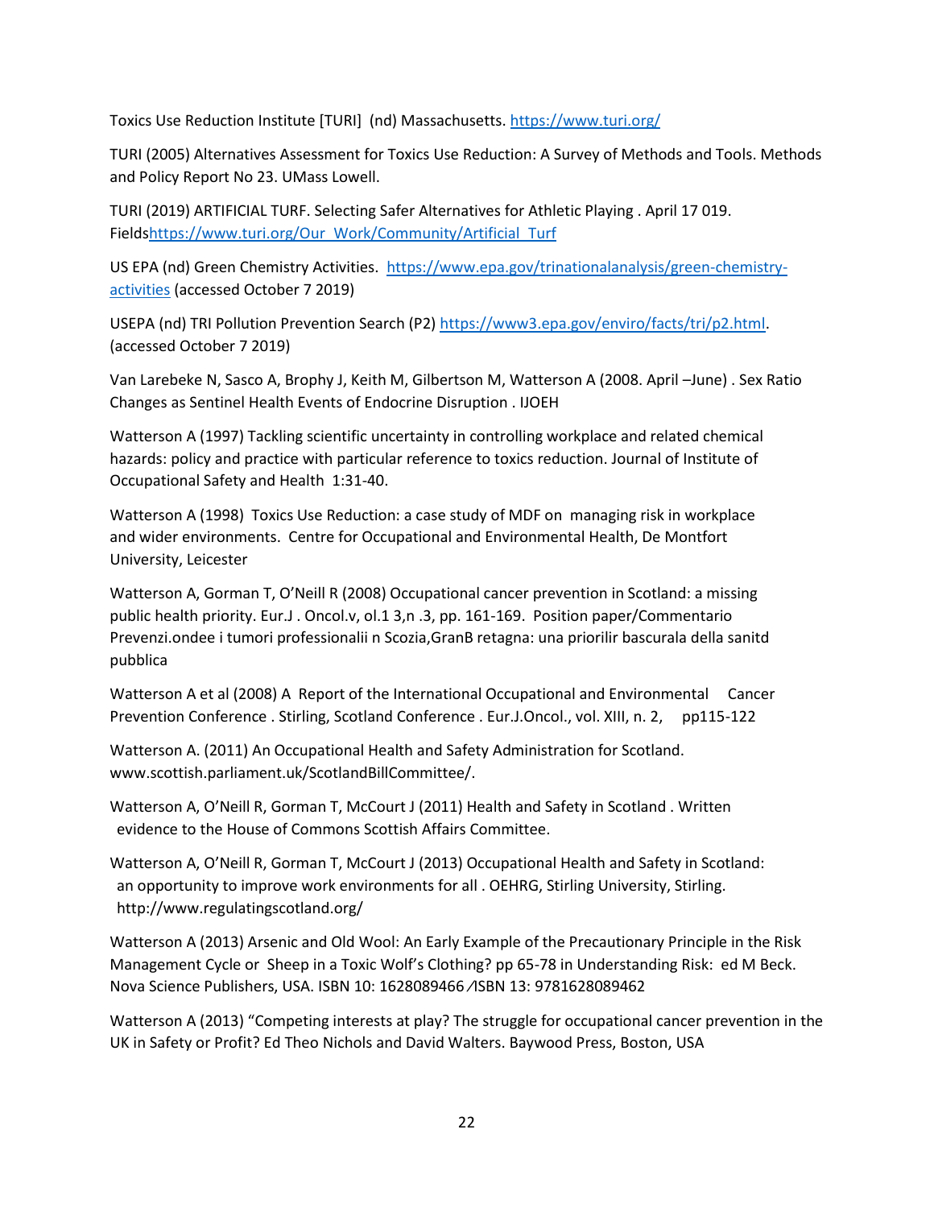Toxics Use Reduction Institute [TURI] (nd) Massachusetts.<https://www.turi.org/>

TURI (2005) Alternatives Assessment for Toxics Use Reduction: A Survey of Methods and Tools. Methods and Policy Report No 23. UMass Lowell.

TURI (2019) ARTIFICIAL TURF. Selecting Safer Alternatives for Athletic Playing . April 17 019. Field[shttps://www.turi.org/Our\\_Work/Community/Artificial\\_Turf](https://www.turi.org/Our_Work/Community/Artificial_Turf)

US EPA (nd) Green Chemistry Activities. [https://www.epa.gov/trinationalanalysis/green-chemistry](https://www.epa.gov/trinationalanalysis/green-chemistry-activities)[activities](https://www.epa.gov/trinationalanalysis/green-chemistry-activities) (accessed October 7 2019)

USEPA (nd) TRI Pollution Prevention Search (P2) [https://www3.epa.gov/enviro/facts/tri/p2.html.](https://www3.epa.gov/enviro/facts/tri/p2.html) (accessed October 7 2019)

Van Larebeke N, Sasco A, Brophy J, Keith M, Gilbertson M, Watterson A (2008. April –June) . Sex Ratio Changes as Sentinel Health Events of Endocrine Disruption . IJOEH

Watterson A (1997) Tackling scientific uncertainty in controlling workplace and related chemical hazards: policy and practice with particular reference to toxics reduction. Journal of Institute of Occupational Safety and Health 1:31-40.

Watterson A (1998) Toxics Use Reduction: a case study of MDF on managing risk in workplace and wider environments. Centre for Occupational and Environmental Health, De Montfort University, Leicester

Watterson A, Gorman T, O'Neill R (2008) Occupational cancer prevention in Scotland: a missing public health priority. Eur.J . Oncol.v, ol.1 3,n .3, pp. 161-169. Position paper/Commentario Prevenzi.ondee i tumori professionalii n Scozia,GranB retagna: una priorilir bascurala della sanitd pubblica

Watterson A et al (2008) A Report of the International Occupational and Environmental Cancer Prevention Conference . Stirling, Scotland Conference . Eur.J.Oncol., vol. XIII, n. 2, pp115-122

Watterson A. (2011) An Occupational Health and Safety Administration for Scotland. www.scottish.parliament.uk/ScotlandBillCommittee/.

Watterson A, O'Neill R, Gorman T, McCourt J (2011) Health and Safety in Scotland . Written evidence to the House of Commons Scottish Affairs Committee.

Watterson A, O'Neill R, Gorman T, McCourt J (2013) Occupational Health and Safety in Scotland: an opportunity to improve work environments for all . OEHRG, Stirling University, Stirling. http://www.regulatingscotland.org/

Watterson A (2013) Arsenic and Old Wool: An Early Example of the Precautionary Principle in the Risk Management Cycle or Sheep in a Toxic Wolf's Clothing? pp 65-78 in Understanding Risk: ed M Beck. Nova Science Publishers, USA. ISBN 10: 1628089466 ⁄ISBN 13: 9781628089462

Watterson A (2013) "Competing interests at play? The struggle for occupational cancer prevention in the UK in Safety or Profit? Ed Theo Nichols and David Walters. Baywood Press, Boston, USA